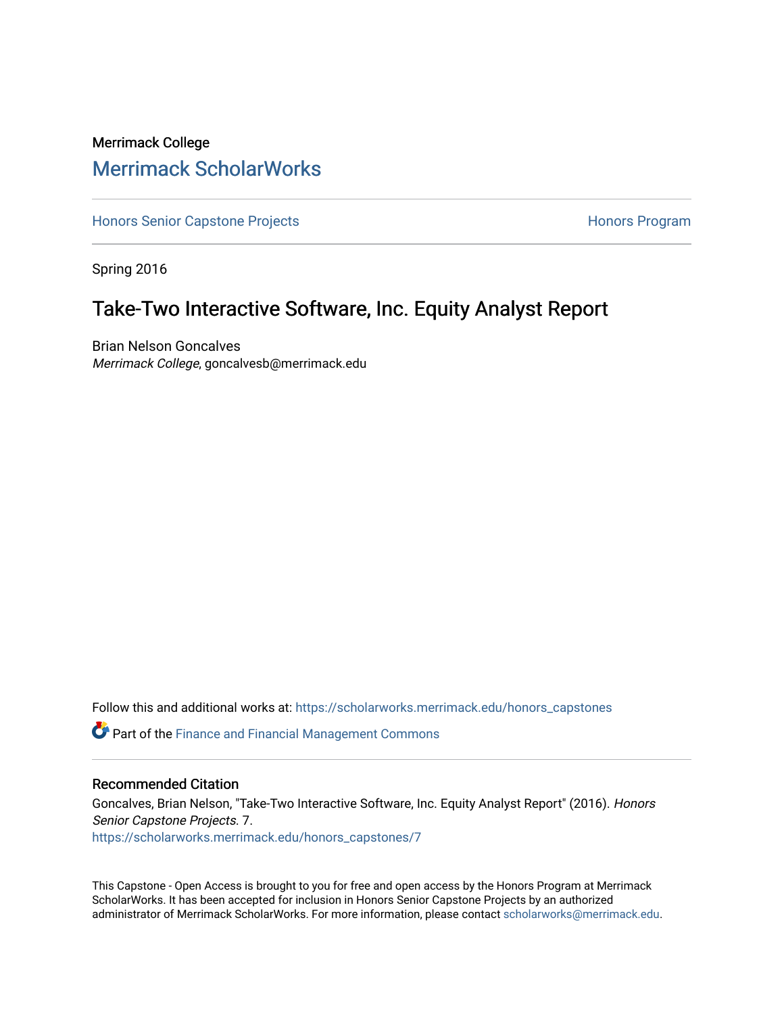# Merrimack College [Merrimack ScholarWorks](https://scholarworks.merrimack.edu/)

[Honors Senior Capstone Projects](https://scholarworks.merrimack.edu/honors_capstones) **Honors Program** Honors Program

Spring 2016

## Take-Two Interactive Software, Inc. Equity Analyst Report

Brian Nelson Goncalves Merrimack College, goncalvesb@merrimack.edu

Follow this and additional works at: [https://scholarworks.merrimack.edu/honors\\_capstones](https://scholarworks.merrimack.edu/honors_capstones?utm_source=scholarworks.merrimack.edu%2Fhonors_capstones%2F7&utm_medium=PDF&utm_campaign=PDFCoverPages)

**C** Part of the Finance and Financial Management Commons

### Recommended Citation

Goncalves, Brian Nelson, "Take-Two Interactive Software, Inc. Equity Analyst Report" (2016). Honors Senior Capstone Projects. 7. [https://scholarworks.merrimack.edu/honors\\_capstones/7](https://scholarworks.merrimack.edu/honors_capstones/7?utm_source=scholarworks.merrimack.edu%2Fhonors_capstones%2F7&utm_medium=PDF&utm_campaign=PDFCoverPages)

This Capstone - Open Access is brought to you for free and open access by the Honors Program at Merrimack ScholarWorks. It has been accepted for inclusion in Honors Senior Capstone Projects by an authorized administrator of Merrimack ScholarWorks. For more information, please contact [scholarworks@merrimack.edu](mailto:scholarworks@merrimack.edu).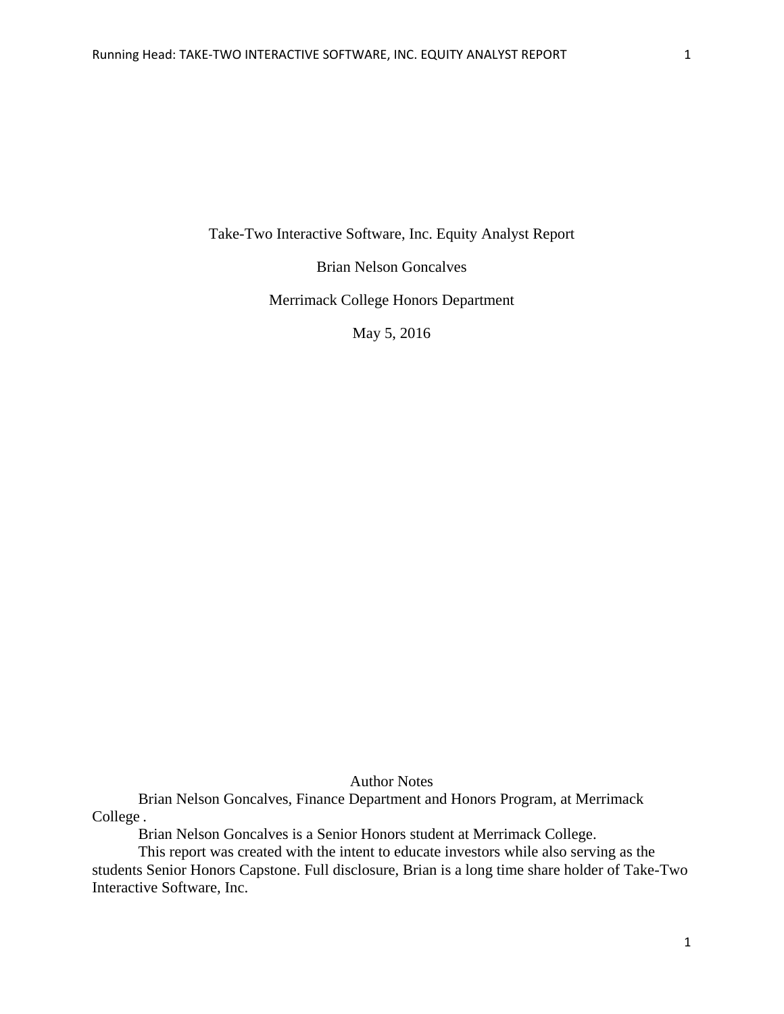Take-Two Interactive Software, Inc. Equity Analyst Report

Brian Nelson Goncalves

Merrimack College Honors Department

May 5, 2016

Author Notes

Brian Nelson Goncalves, Finance Department and Honors Program, at Merrimack College.

Brian Nelson Goncalves is a Senior Honors student at Merrimack College.

This report was created with the intent to educate investors while also serving as the students Senior Honors Capstone. Full disclosure, Brian is a long time share holder of Take-Two Interactive Software, Inc.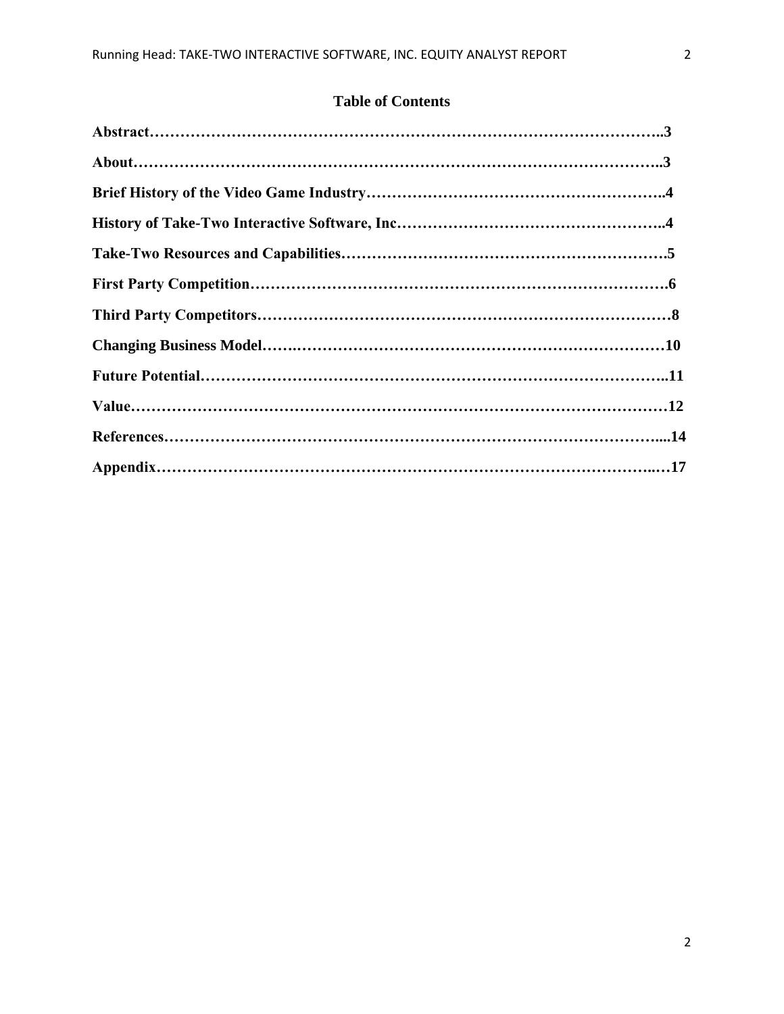## **Table of Contents**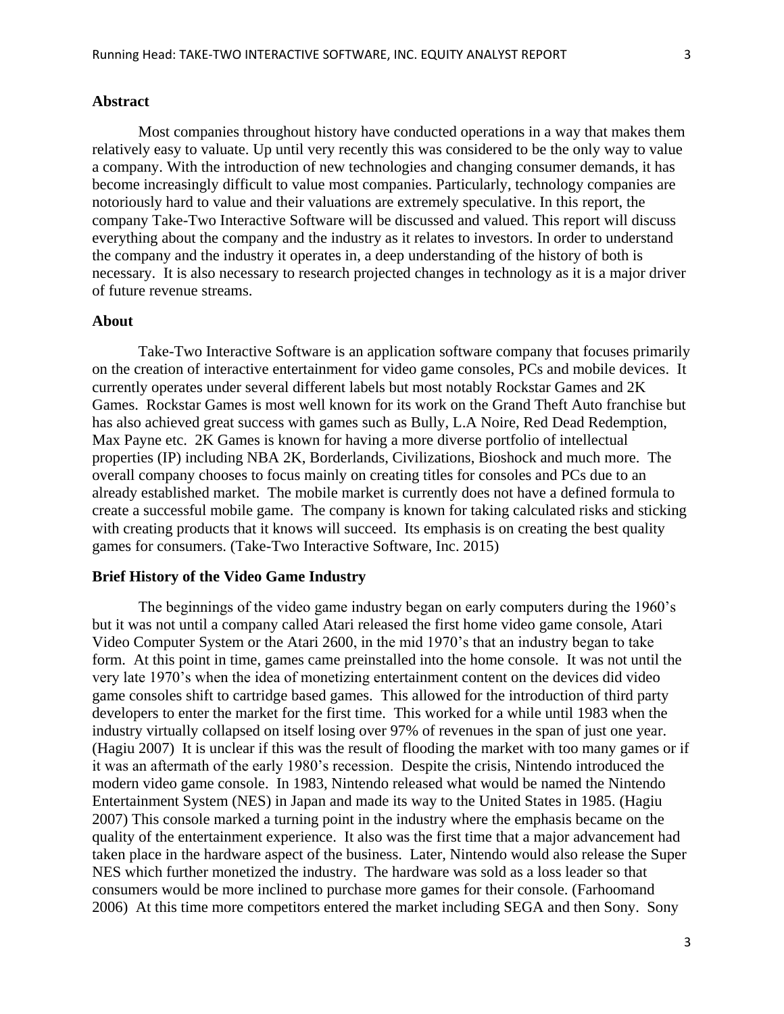## **Abstract**

Most companies throughout history have conducted operations in a way that makes them relatively easy to valuate. Up until very recently this was considered to be the only way to value a company. With the introduction of new technologies and changing consumer demands, it has become increasingly difficult to value most companies. Particularly, technology companies are notoriously hard to value and their valuations are extremely speculative. In this report, the company Take-Two Interactive Software will be discussed and valued. This report will discuss everything about the company and the industry as it relates to investors. In order to understand the company and the industry it operates in, a deep understanding of the history of both is necessary. It is also necessary to research projected changes in technology as it is a major driver of future revenue streams.

#### **About**

Take-Two Interactive Software is an application software company that focuses primarily on the creation of interactive entertainment for video game consoles, PCs and mobile devices. It currently operates under several different labels but most notably Rockstar Games and 2K Games. Rockstar Games is most well known for its work on the Grand Theft Auto franchise but has also achieved great success with games such as Bully, L.A Noire, Red Dead Redemption, Max Payne etc. 2K Games is known for having a more diverse portfolio of intellectual properties (IP) including NBA 2K, Borderlands, Civilizations, Bioshock and much more. The overall company chooses to focus mainly on creating titles for consoles and PCs due to an already established market. The mobile market is currently does not have a defined formula to create a successful mobile game. The company is known for taking calculated risks and sticking with creating products that it knows will succeed. Its emphasis is on creating the best quality games for consumers. (Take-Two Interactive Software, Inc. 2015)

## **Brief History of the Video Game Industry**

The beginnings of the video game industry began on early computers during the 1960's but it was not until a company called Atari released the first home video game console, Atari Video Computer System or the Atari 2600, in the mid 1970's that an industry began to take form. At this point in time, games came preinstalled into the home console. It was not until the very late 1970's when the idea of monetizing entertainment content on the devices did video game consoles shift to cartridge based games. This allowed for the introduction of third party developers to enter the market for the first time. This worked for a while until 1983 when the industry virtually collapsed on itself losing over 97% of revenues in the span of just one year. (Hagiu 2007) It is unclear if this was the result of flooding the market with too many games or if it was an aftermath of the early 1980's recession. Despite the crisis, Nintendo introduced the modern video game console. In 1983, Nintendo released what would be named the Nintendo Entertainment System (NES) in Japan and made its way to the United States in 1985. (Hagiu 2007) This console marked a turning point in the industry where the emphasis became on the quality of the entertainment experience. It also was the first time that a major advancement had taken place in the hardware aspect of the business. Later, Nintendo would also release the Super NES which further monetized the industry. The hardware was sold as a loss leader so that consumers would be more inclined to purchase more games for their console. (Farhoomand 2006) At this time more competitors entered the market including SEGA and then Sony. Sony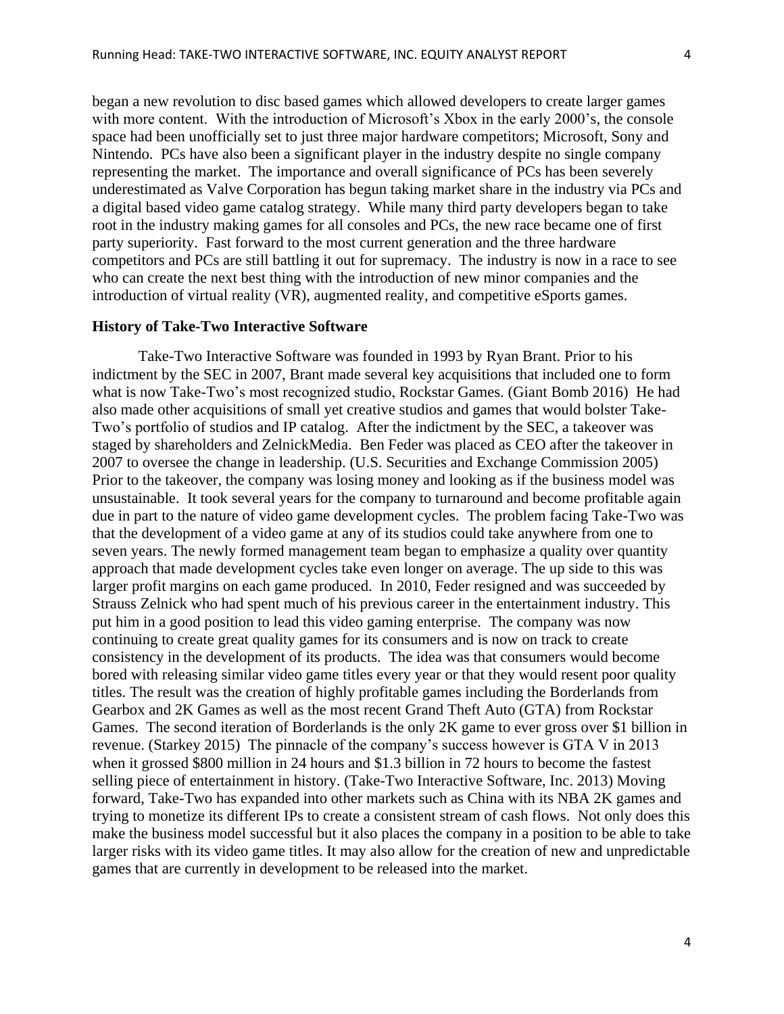began a new revolution to disc based games which allowed developers to create larger games with more content. With the introduction of Microsoft's Xbox in the early 2000's, the console space had been unofficially set to just three major hardware competitors; Microsoft, Sony and Nintendo. PCs have also been a significant player in the industry despite no single company representing the market. The importance and overall significance of PCs has been severely underestimated as Valve Corporation has begun taking market share in the industry via PCs and a digital based video game catalog strategy. While many third party developers began to take root in the industry making games for all consoles and PCs, the new race became one of first party superiority. Fast forward to the most current generation and the three hardware competitors and PCs are still battling it out for supremacy. The industry is now in a race to see who can create the next best thing with the introduction of new minor companies and the introduction of virtual reality (VR), augmented reality, and competitive eSports games.

### **History of Take-Two Interactive Software**

Take-Two Interactive Software was founded in 1993 by Ryan Brant. Prior to his indictment by the SEC in 2007, Brant made several key acquisitions that included one to form what is now Take-Two's most recognized studio, Rockstar Games. (Giant Bomb 2016) He had also made other acquisitions of small yet creative studios and games that would bolster Take-Two's portfolio of studios and IP catalog. After the indictment by the SEC, a takeover was staged by shareholders and ZelnickMedia. Ben Feder was placed as CEO after the takeover in 2007 to oversee the change in leadership. (U.S. Securities and Exchange Commission 2005) Prior to the takeover, the company was losing money and looking as if the business model was unsustainable. It took several years for the company to turnaround and become profitable again due in part to the nature of video game development cycles. The problem facing Take-Two was that the development of a video game at any of its studios could take anywhere from one to seven years. The newly formed management team began to emphasize a quality over quantity approach that made development cycles take even longer on average. The up side to this was larger profit margins on each game produced. In 2010, Feder resigned and was succeeded by Strauss Zelnick who had spent much of his previous career in the entertainment industry. This put him in a good position to lead this video gaming enterprise. The company was now continuing to create great quality games for its consumers and is now on track to create consistency in the development of its products. The idea was that consumers would become bored with releasing similar video game titles every year or that they would resent poor quality titles. The result was the creation of highly profitable games including the Borderlands from Gearbox and 2K Games as well as the most recent Grand Theft Auto (GTA) from Rockstar Games. The second iteration of Borderlands is the only 2K game to ever gross over \$1 billion in revenue. (Starkey 2015) The pinnacle of the company's success however is GTA V in 2013 when it grossed \$800 million in 24 hours and \$1.3 billion in 72 hours to become the fastest selling piece of entertainment in history. (Take-Two Interactive Software, Inc. 2013) Moving forward, Take-Two has expanded into other markets such as China with its NBA 2K games and trying to monetize its different IPs to create a consistent stream of cash flows. Not only does this make the business model successful but it also places the company in a position to be able to take larger risks with its video game titles. It may also allow for the creation of new and unpredictable games that are currently in development to be released into the market.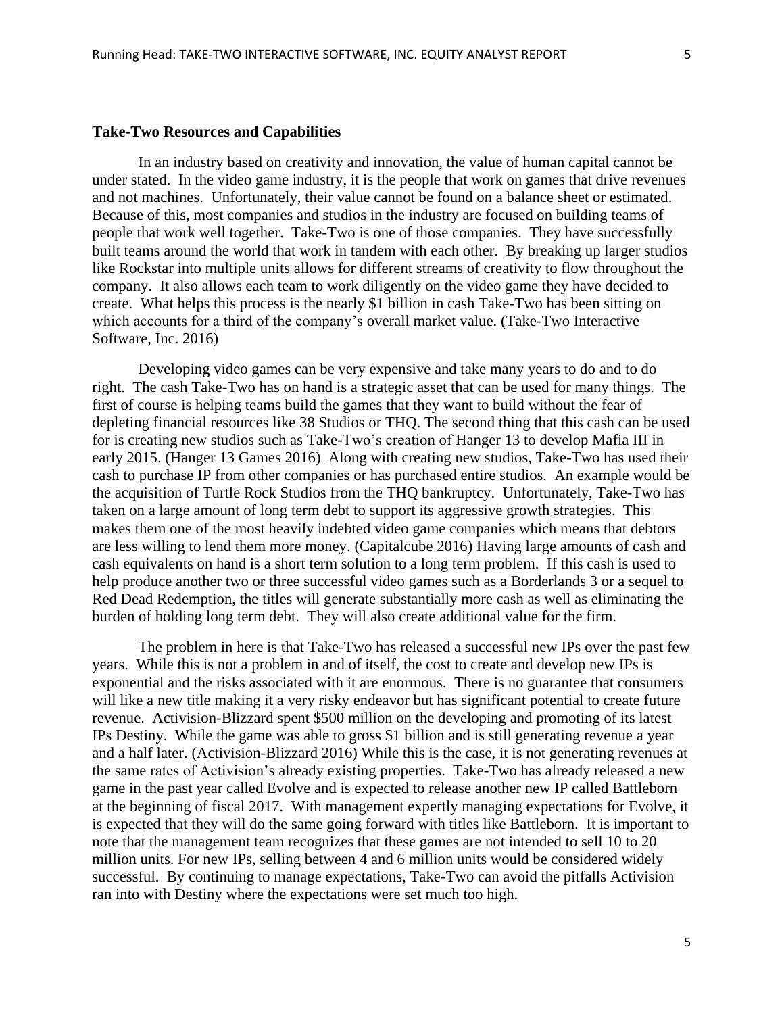#### **Take-Two Resources and Capabilities**

In an industry based on creativity and innovation, the value of human capital cannot be under stated. In the video game industry, it is the people that work on games that drive revenues and not machines. Unfortunately, their value cannot be found on a balance sheet or estimated. Because of this, most companies and studios in the industry are focused on building teams of people that work well together. Take-Two is one of those companies. They have successfully built teams around the world that work in tandem with each other. By breaking up larger studios like Rockstar into multiple units allows for different streams of creativity to flow throughout the company. It also allows each team to work diligently on the video game they have decided to create. What helps this process is the nearly \$1 billion in cash Take-Two has been sitting on which accounts for a third of the company's overall market value. (Take-Two Interactive Software, Inc. 2016)

Developing video games can be very expensive and take many years to do and to do right. The cash Take-Two has on hand is a strategic asset that can be used for many things. The first of course is helping teams build the games that they want to build without the fear of depleting financial resources like 38 Studios or THQ. The second thing that this cash can be used for is creating new studios such as Take-Two's creation of Hanger 13 to develop Mafia III in early 2015. (Hanger 13 Games 2016) Along with creating new studios, Take-Two has used their cash to purchase IP from other companies or has purchased entire studios. An example would be the acquisition of Turtle Rock Studios from the THQ bankruptcy. Unfortunately, Take-Two has taken on a large amount of long term debt to support its aggressive growth strategies. This makes them one of the most heavily indebted video game companies which means that debtors are less willing to lend them more money. (Capitalcube 2016) Having large amounts of cash and cash equivalents on hand is a short term solution to a long term problem. If this cash is used to help produce another two or three successful video games such as a Borderlands 3 or a sequel to Red Dead Redemption, the titles will generate substantially more cash as well as eliminating the burden of holding long term debt. They will also create additional value for the firm.

The problem in here is that Take-Two has released a successful new IPs over the past few years. While this is not a problem in and of itself, the cost to create and develop new IPs is exponential and the risks associated with it are enormous. There is no guarantee that consumers will like a new title making it a very risky endeavor but has significant potential to create future revenue. Activision-Blizzard spent \$500 million on the developing and promoting of its latest IPs Destiny. While the game was able to gross \$1 billion and is still generating revenue a year and a half later. (Activision-Blizzard 2016) While this is the case, it is not generating revenues at the same rates of Activision's already existing properties. Take-Two has already released a new game in the past year called Evolve and is expected to release another new IP called Battleborn at the beginning of fiscal 2017. With management expertly managing expectations for Evolve, it is expected that they will do the same going forward with titles like Battleborn. It is important to note that the management team recognizes that these games are not intended to sell 10 to 20 million units. For new IPs, selling between 4 and 6 million units would be considered widely successful. By continuing to manage expectations, Take-Two can avoid the pitfalls Activision ran into with Destiny where the expectations were set much too high.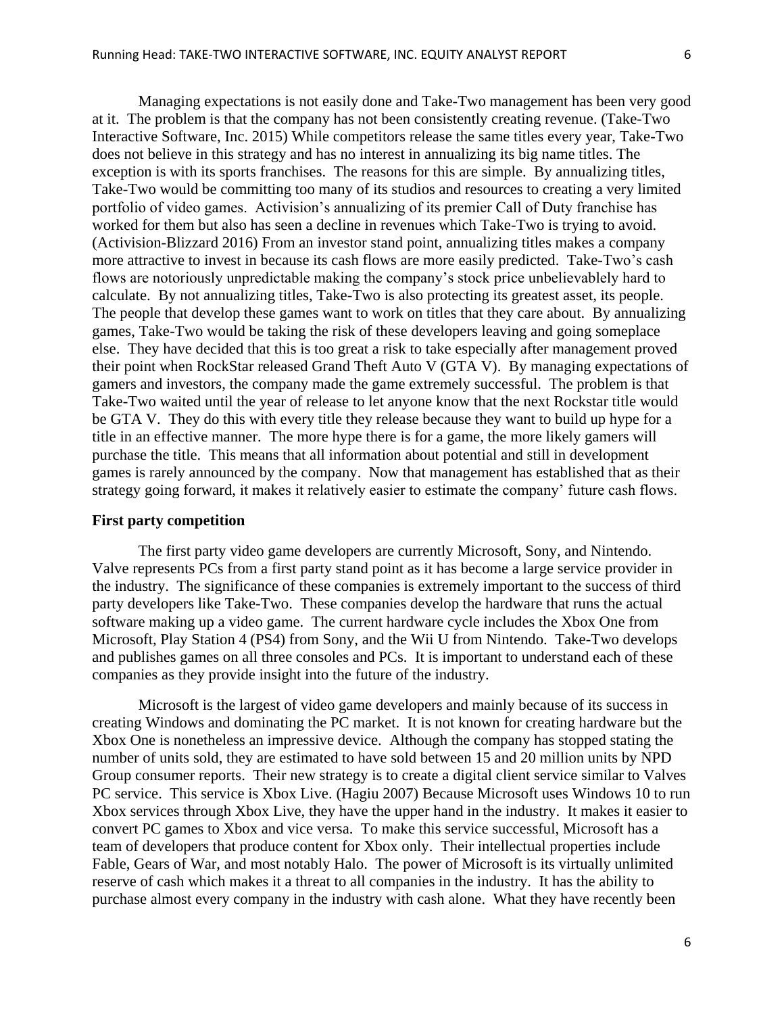Managing expectations is not easily done and Take-Two management has been very good at it. The problem is that the company has not been consistently creating revenue. (Take-Two Interactive Software, Inc. 2015) While competitors release the same titles every year, Take-Two does not believe in this strategy and has no interest in annualizing its big name titles. The exception is with its sports franchises. The reasons for this are simple. By annualizing titles, Take-Two would be committing too many of its studios and resources to creating a very limited portfolio of video games. Activision's annualizing of its premier Call of Duty franchise has worked for them but also has seen a decline in revenues which Take-Two is trying to avoid. (Activision-Blizzard 2016) From an investor stand point, annualizing titles makes a company more attractive to invest in because its cash flows are more easily predicted. Take-Two's cash flows are notoriously unpredictable making the company's stock price unbelievablely hard to calculate. By not annualizing titles, Take-Two is also protecting its greatest asset, its people. The people that develop these games want to work on titles that they care about. By annualizing games, Take-Two would be taking the risk of these developers leaving and going someplace else. They have decided that this is too great a risk to take especially after management proved their point when RockStar released Grand Theft Auto V (GTA V). By managing expectations of gamers and investors, the company made the game extremely successful. The problem is that Take-Two waited until the year of release to let anyone know that the next Rockstar title would be GTA V. They do this with every title they release because they want to build up hype for a title in an effective manner. The more hype there is for a game, the more likely gamers will purchase the title. This means that all information about potential and still in development games is rarely announced by the company. Now that management has established that as their strategy going forward, it makes it relatively easier to estimate the company' future cash flows.

## **First party competition**

The first party video game developers are currently Microsoft, Sony, and Nintendo. Valve represents PCs from a first party stand point as it has become a large service provider in the industry. The significance of these companies is extremely important to the success of third party developers like Take-Two. These companies develop the hardware that runs the actual software making up a video game. The current hardware cycle includes the Xbox One from Microsoft, Play Station 4 (PS4) from Sony, and the Wii U from Nintendo. Take-Two develops and publishes games on all three consoles and PCs. It is important to understand each of these companies as they provide insight into the future of the industry.

Microsoft is the largest of video game developers and mainly because of its success in creating Windows and dominating the PC market. It is not known for creating hardware but the Xbox One is nonetheless an impressive device. Although the company has stopped stating the number of units sold, they are estimated to have sold between 15 and 20 million units by NPD Group consumer reports. Their new strategy is to create a digital client service similar to Valves PC service. This service is Xbox Live. (Hagiu 2007) Because Microsoft uses Windows 10 to run Xbox services through Xbox Live, they have the upper hand in the industry. It makes it easier to convert PC games to Xbox and vice versa. To make this service successful, Microsoft has a team of developers that produce content for Xbox only. Their intellectual properties include Fable, Gears of War, and most notably Halo. The power of Microsoft is its virtually unlimited reserve of cash which makes it a threat to all companies in the industry. It has the ability to purchase almost every company in the industry with cash alone. What they have recently been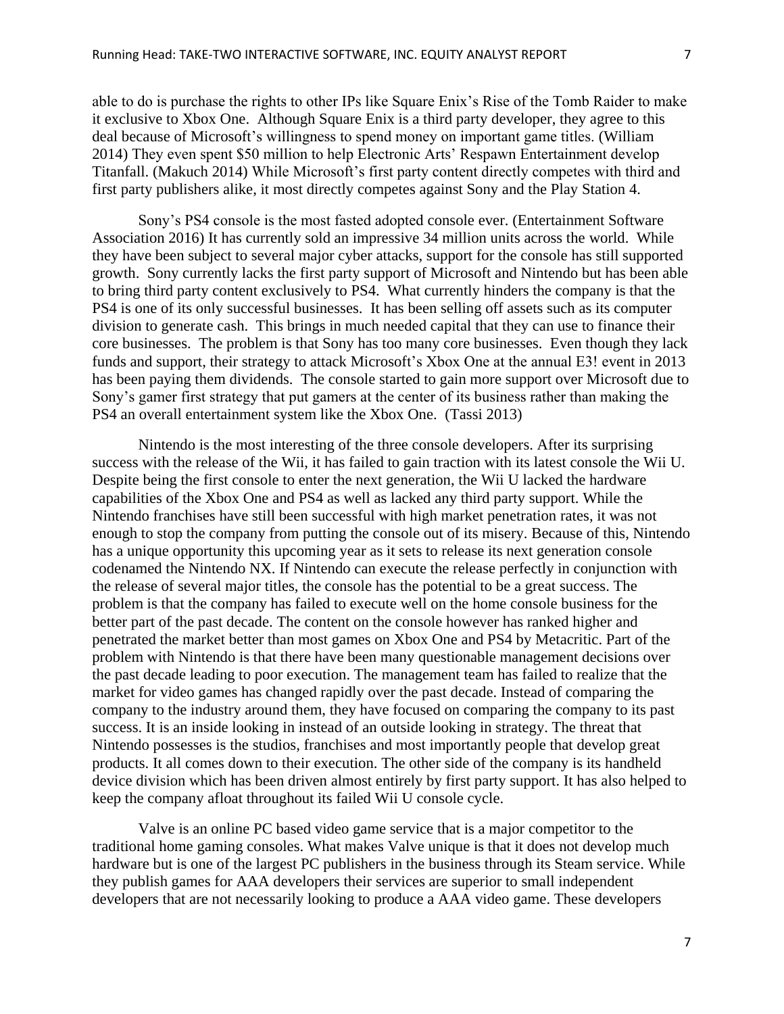able to do is purchase the rights to other IPs like Square Enix's Rise of the Tomb Raider to make it exclusive to Xbox One. Although Square Enix is a third party developer, they agree to this deal because of Microsoft's willingness to spend money on important game titles. (William 2014) They even spent \$50 million to help Electronic Arts' Respawn Entertainment develop Titanfall. (Makuch 2014) While Microsoft's first party content directly competes with third and first party publishers alike, it most directly competes against Sony and the Play Station 4.

Sony's PS4 console is the most fasted adopted console ever. (Entertainment Software Association 2016) It has currently sold an impressive 34 million units across the world. While they have been subject to several major cyber attacks, support for the console has still supported growth. Sony currently lacks the first party support of Microsoft and Nintendo but has been able to bring third party content exclusively to PS4. What currently hinders the company is that the PS4 is one of its only successful businesses. It has been selling off assets such as its computer division to generate cash. This brings in much needed capital that they can use to finance their core businesses. The problem is that Sony has too many core businesses. Even though they lack funds and support, their strategy to attack Microsoft's Xbox One at the annual E3! event in 2013 has been paying them dividends. The console started to gain more support over Microsoft due to Sony's gamer first strategy that put gamers at the center of its business rather than making the PS4 an overall entertainment system like the Xbox One. (Tassi 2013)

Nintendo is the most interesting of the three console developers. After its surprising success with the release of the Wii, it has failed to gain traction with its latest console the Wii U. Despite being the first console to enter the next generation, the Wii U lacked the hardware capabilities of the Xbox One and PS4 as well as lacked any third party support. While the Nintendo franchises have still been successful with high market penetration rates, it was not enough to stop the company from putting the console out of its misery. Because of this, Nintendo has a unique opportunity this upcoming year as it sets to release its next generation console codenamed the Nintendo NX. If Nintendo can execute the release perfectly in conjunction with the release of several major titles, the console has the potential to be a great success. The problem is that the company has failed to execute well on the home console business for the better part of the past decade. The content on the console however has ranked higher and penetrated the market better than most games on Xbox One and PS4 by Metacritic. Part of the problem with Nintendo is that there have been many questionable management decisions over the past decade leading to poor execution. The management team has failed to realize that the market for video games has changed rapidly over the past decade. Instead of comparing the company to the industry around them, they have focused on comparing the company to its past success. It is an inside looking in instead of an outside looking in strategy. The threat that Nintendo possesses is the studios, franchises and most importantly people that develop great products. It all comes down to their execution. The other side of the company is its handheld device division which has been driven almost entirely by first party support. It has also helped to keep the company afloat throughout its failed Wii U console cycle.

Valve is an online PC based video game service that is a major competitor to the traditional home gaming consoles. What makes Valve unique is that it does not develop much hardware but is one of the largest PC publishers in the business through its Steam service. While they publish games for AAA developers their services are superior to small independent developers that are not necessarily looking to produce a AAA video game. These developers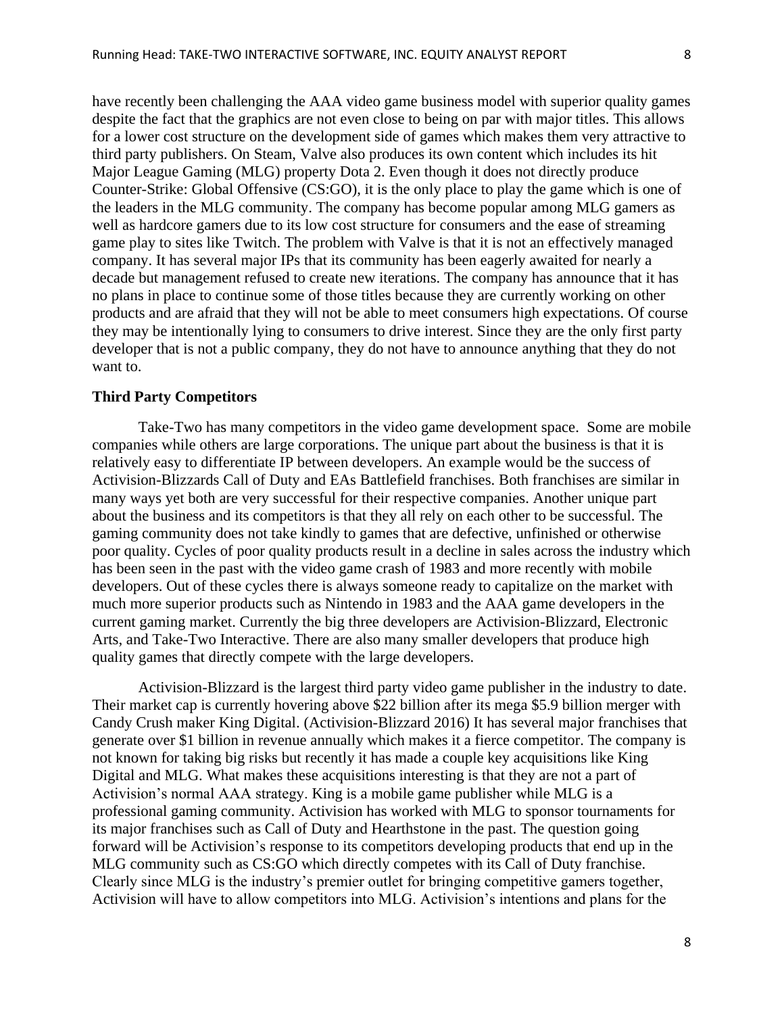have recently been challenging the AAA video game business model with superior quality games despite the fact that the graphics are not even close to being on par with major titles. This allows for a lower cost structure on the development side of games which makes them very attractive to third party publishers. On Steam, Valve also produces its own content which includes its hit Major League Gaming (MLG) property Dota 2. Even though it does not directly produce Counter-Strike: Global Offensive (CS:GO), it is the only place to play the game which is one of the leaders in the MLG community. The company has become popular among MLG gamers as well as hardcore gamers due to its low cost structure for consumers and the ease of streaming game play to sites like Twitch. The problem with Valve is that it is not an effectively managed company. It has several major IPs that its community has been eagerly awaited for nearly a decade but management refused to create new iterations. The company has announce that it has no plans in place to continue some of those titles because they are currently working on other products and are afraid that they will not be able to meet consumers high expectations. Of course they may be intentionally lying to consumers to drive interest. Since they are the only first party developer that is not a public company, they do not have to announce anything that they do not want to.

## **Third Party Competitors**

Take-Two has many competitors in the video game development space. Some are mobile companies while others are large corporations. The unique part about the business is that it is relatively easy to differentiate IP between developers. An example would be the success of Activision-Blizzards Call of Duty and EAs Battlefield franchises. Both franchises are similar in many ways yet both are very successful for their respective companies. Another unique part about the business and its competitors is that they all rely on each other to be successful. The gaming community does not take kindly to games that are defective, unfinished or otherwise poor quality. Cycles of poor quality products result in a decline in sales across the industry which has been seen in the past with the video game crash of 1983 and more recently with mobile developers. Out of these cycles there is always someone ready to capitalize on the market with much more superior products such as Nintendo in 1983 and the AAA game developers in the current gaming market. Currently the big three developers are Activision-Blizzard, Electronic Arts, and Take-Two Interactive. There are also many smaller developers that produce high quality games that directly compete with the large developers.

Activision-Blizzard is the largest third party video game publisher in the industry to date. Their market cap is currently hovering above \$22 billion after its mega \$5.9 billion merger with Candy Crush maker King Digital. (Activision-Blizzard 2016) It has several major franchises that generate over \$1 billion in revenue annually which makes it a fierce competitor. The company is not known for taking big risks but recently it has made a couple key acquisitions like King Digital and MLG. What makes these acquisitions interesting is that they are not a part of Activision's normal AAA strategy. King is a mobile game publisher while MLG is a professional gaming community. Activision has worked with MLG to sponsor tournaments for its major franchises such as Call of Duty and Hearthstone in the past. The question going forward will be Activision's response to its competitors developing products that end up in the MLG community such as CS:GO which directly competes with its Call of Duty franchise. Clearly since MLG is the industry's premier outlet for bringing competitive gamers together, Activision will have to allow competitors into MLG. Activision's intentions and plans for the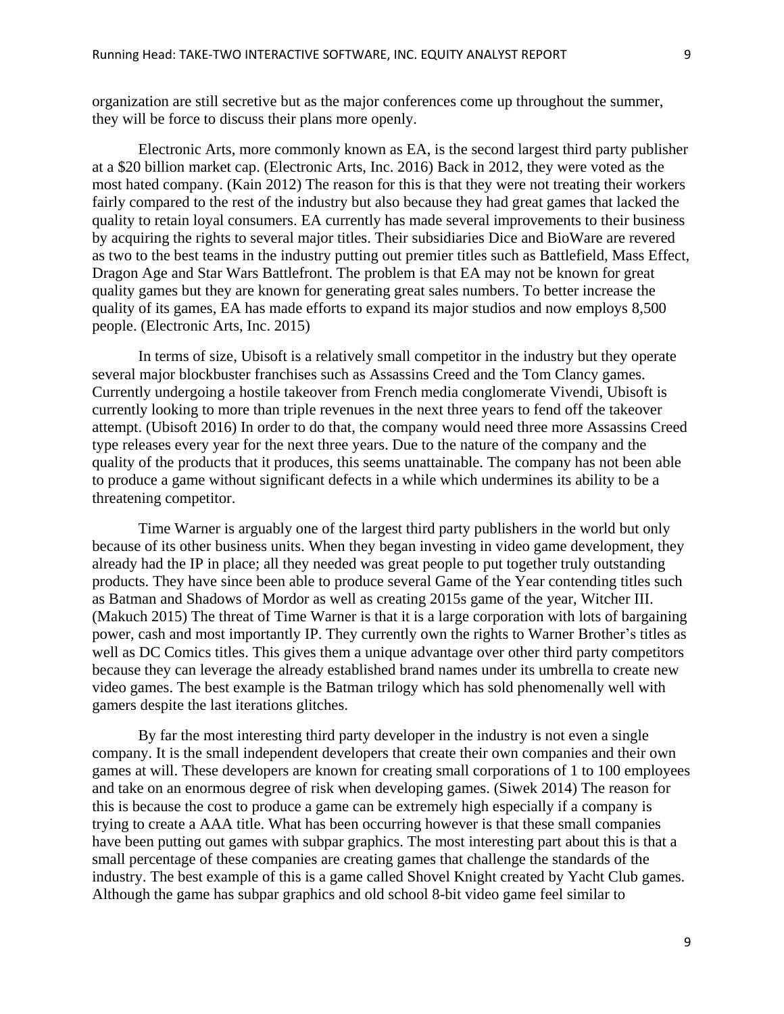organization are still secretive but as the major conferences come up throughout the summer, they will be force to discuss their plans more openly.

Electronic Arts, more commonly known as EA, is the second largest third party publisher at a \$20 billion market cap. (Electronic Arts, Inc. 2016) Back in 2012, they were voted as the most hated company. (Kain 2012) The reason for this is that they were not treating their workers fairly compared to the rest of the industry but also because they had great games that lacked the quality to retain loyal consumers. EA currently has made several improvements to their business by acquiring the rights to several major titles. Their subsidiaries Dice and BioWare are revered as two to the best teams in the industry putting out premier titles such as Battlefield, Mass Effect, Dragon Age and Star Wars Battlefront. The problem is that EA may not be known for great quality games but they are known for generating great sales numbers. To better increase the quality of its games, EA has made efforts to expand its major studios and now employs 8,500 people. (Electronic Arts, Inc. 2015)

In terms of size, Ubisoft is a relatively small competitor in the industry but they operate several major blockbuster franchises such as Assassins Creed and the Tom Clancy games. Currently undergoing a hostile takeover from French media conglomerate Vivendi, Ubisoft is currently looking to more than triple revenues in the next three years to fend off the takeover attempt. (Ubisoft 2016) In order to do that, the company would need three more Assassins Creed type releases every year for the next three years. Due to the nature of the company and the quality of the products that it produces, this seems unattainable. The company has not been able to produce a game without significant defects in a while which undermines its ability to be a threatening competitor.

Time Warner is arguably one of the largest third party publishers in the world but only because of its other business units. When they began investing in video game development, they already had the IP in place; all they needed was great people to put together truly outstanding products. They have since been able to produce several Game of the Year contending titles such as Batman and Shadows of Mordor as well as creating 2015s game of the year, Witcher III. (Makuch 2015) The threat of Time Warner is that it is a large corporation with lots of bargaining power, cash and most importantly IP. They currently own the rights to Warner Brother's titles as well as DC Comics titles. This gives them a unique advantage over other third party competitors because they can leverage the already established brand names under its umbrella to create new video games. The best example is the Batman trilogy which has sold phenomenally well with gamers despite the last iterations glitches.

By far the most interesting third party developer in the industry is not even a single company. It is the small independent developers that create their own companies and their own games at will. These developers are known for creating small corporations of 1 to 100 employees and take on an enormous degree of risk when developing games. (Siwek 2014) The reason for this is because the cost to produce a game can be extremely high especially if a company is trying to create a AAA title. What has been occurring however is that these small companies have been putting out games with subpar graphics. The most interesting part about this is that a small percentage of these companies are creating games that challenge the standards of the industry. The best example of this is a game called Shovel Knight created by Yacht Club games. Although the game has subpar graphics and old school 8-bit video game feel similar to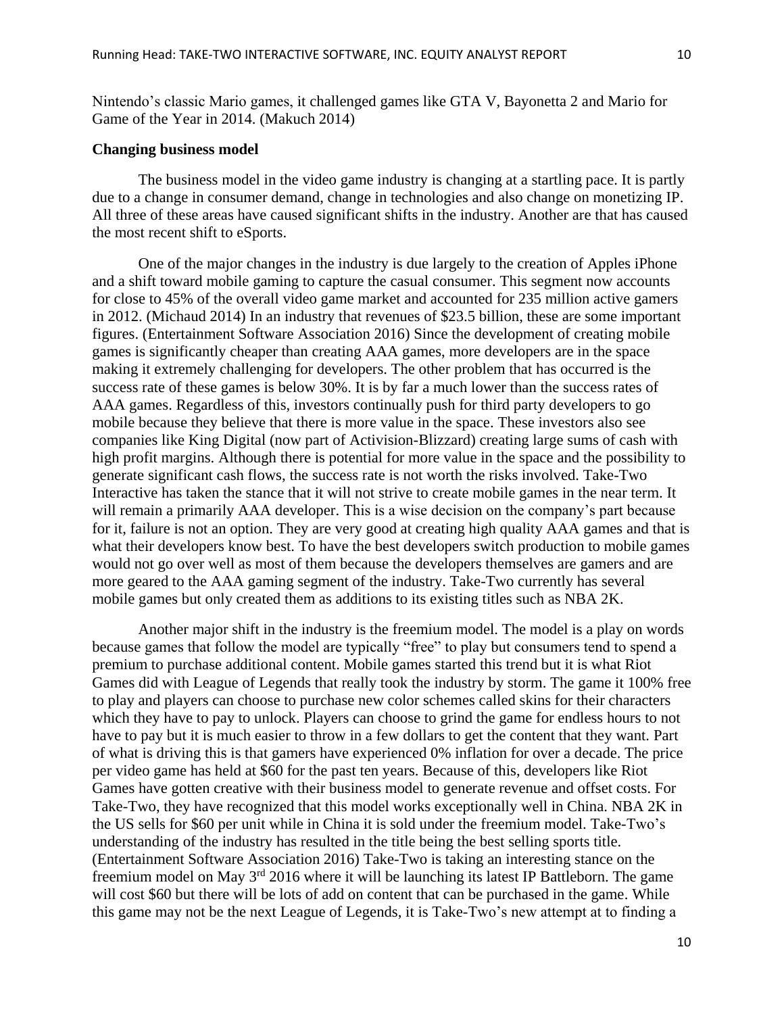Nintendo's classic Mario games, it challenged games like GTA V, Bayonetta 2 and Mario for Game of the Year in 2014. (Makuch 2014)

#### **Changing business model**

The business model in the video game industry is changing at a startling pace. It is partly due to a change in consumer demand, change in technologies and also change on monetizing IP. All three of these areas have caused significant shifts in the industry. Another are that has caused the most recent shift to eSports.

One of the major changes in the industry is due largely to the creation of Apples iPhone and a shift toward mobile gaming to capture the casual consumer. This segment now accounts for close to 45% of the overall video game market and accounted for 235 million active gamers in 2012. (Michaud 2014) In an industry that revenues of \$23.5 billion, these are some important figures. (Entertainment Software Association 2016) Since the development of creating mobile games is significantly cheaper than creating AAA games, more developers are in the space making it extremely challenging for developers. The other problem that has occurred is the success rate of these games is below 30%. It is by far a much lower than the success rates of AAA games. Regardless of this, investors continually push for third party developers to go mobile because they believe that there is more value in the space. These investors also see companies like King Digital (now part of Activision-Blizzard) creating large sums of cash with high profit margins. Although there is potential for more value in the space and the possibility to generate significant cash flows, the success rate is not worth the risks involved. Take-Two Interactive has taken the stance that it will not strive to create mobile games in the near term. It will remain a primarily AAA developer. This is a wise decision on the company's part because for it, failure is not an option. They are very good at creating high quality AAA games and that is what their developers know best. To have the best developers switch production to mobile games would not go over well as most of them because the developers themselves are gamers and are more geared to the AAA gaming segment of the industry. Take-Two currently has several mobile games but only created them as additions to its existing titles such as NBA 2K.

Another major shift in the industry is the freemium model. The model is a play on words because games that follow the model are typically "free" to play but consumers tend to spend a premium to purchase additional content. Mobile games started this trend but it is what Riot Games did with League of Legends that really took the industry by storm. The game it 100% free to play and players can choose to purchase new color schemes called skins for their characters which they have to pay to unlock. Players can choose to grind the game for endless hours to not have to pay but it is much easier to throw in a few dollars to get the content that they want. Part of what is driving this is that gamers have experienced 0% inflation for over a decade. The price per video game has held at \$60 for the past ten years. Because of this, developers like Riot Games have gotten creative with their business model to generate revenue and offset costs. For Take-Two, they have recognized that this model works exceptionally well in China. NBA 2K in the US sells for \$60 per unit while in China it is sold under the freemium model. Take-Two's understanding of the industry has resulted in the title being the best selling sports title. (Entertainment Software Association 2016) Take-Two is taking an interesting stance on the freemium model on May 3rd 2016 where it will be launching its latest IP Battleborn. The game will cost \$60 but there will be lots of add on content that can be purchased in the game. While this game may not be the next League of Legends, it is Take-Two's new attempt at to finding a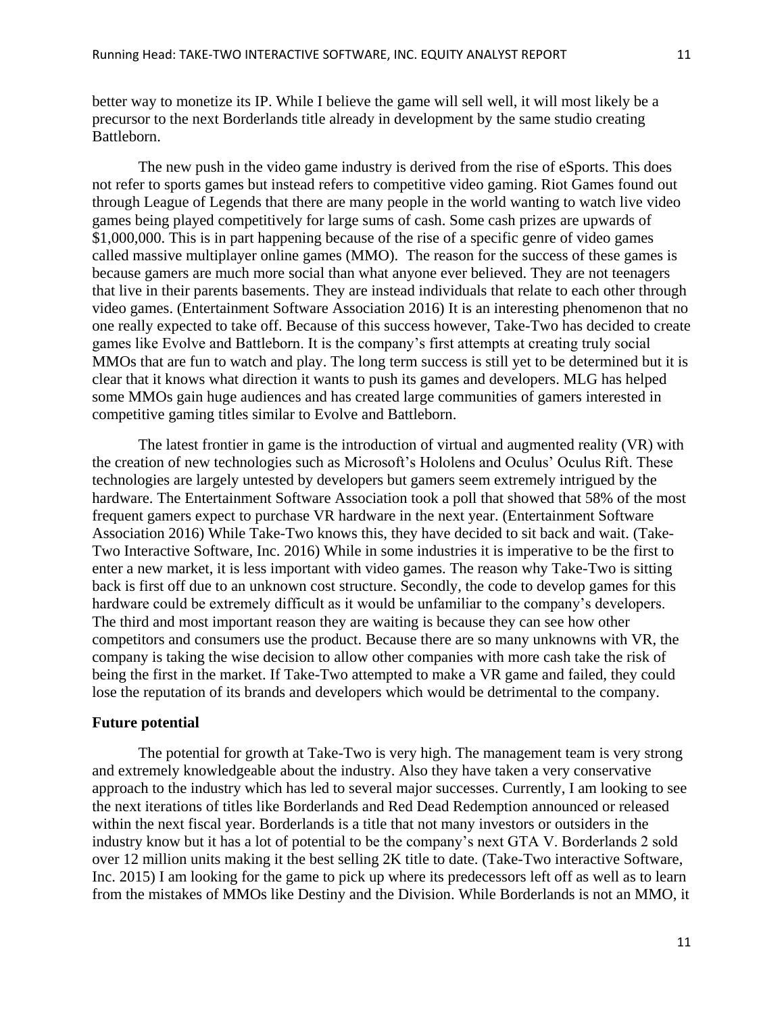better way to monetize its IP. While I believe the game will sell well, it will most likely be a precursor to the next Borderlands title already in development by the same studio creating Battleborn.

The new push in the video game industry is derived from the rise of eSports. This does not refer to sports games but instead refers to competitive video gaming. Riot Games found out through League of Legends that there are many people in the world wanting to watch live video games being played competitively for large sums of cash. Some cash prizes are upwards of \$1,000,000. This is in part happening because of the rise of a specific genre of video games called massive multiplayer online games (MMO). The reason for the success of these games is because gamers are much more social than what anyone ever believed. They are not teenagers that live in their parents basements. They are instead individuals that relate to each other through video games. (Entertainment Software Association 2016) It is an interesting phenomenon that no one really expected to take off. Because of this success however, Take-Two has decided to create games like Evolve and Battleborn. It is the company's first attempts at creating truly social MMOs that are fun to watch and play. The long term success is still yet to be determined but it is clear that it knows what direction it wants to push its games and developers. MLG has helped some MMOs gain huge audiences and has created large communities of gamers interested in competitive gaming titles similar to Evolve and Battleborn.

The latest frontier in game is the introduction of virtual and augmented reality (VR) with the creation of new technologies such as Microsoft's Hololens and Oculus' Oculus Rift. These technologies are largely untested by developers but gamers seem extremely intrigued by the hardware. The Entertainment Software Association took a poll that showed that 58% of the most frequent gamers expect to purchase VR hardware in the next year. (Entertainment Software Association 2016) While Take-Two knows this, they have decided to sit back and wait. (Take-Two Interactive Software, Inc. 2016) While in some industries it is imperative to be the first to enter a new market, it is less important with video games. The reason why Take-Two is sitting back is first off due to an unknown cost structure. Secondly, the code to develop games for this hardware could be extremely difficult as it would be unfamiliar to the company's developers. The third and most important reason they are waiting is because they can see how other competitors and consumers use the product. Because there are so many unknowns with VR, the company is taking the wise decision to allow other companies with more cash take the risk of being the first in the market. If Take-Two attempted to make a VR game and failed, they could lose the reputation of its brands and developers which would be detrimental to the company.

## **Future potential**

The potential for growth at Take-Two is very high. The management team is very strong and extremely knowledgeable about the industry. Also they have taken a very conservative approach to the industry which has led to several major successes. Currently, I am looking to see the next iterations of titles like Borderlands and Red Dead Redemption announced or released within the next fiscal year. Borderlands is a title that not many investors or outsiders in the industry know but it has a lot of potential to be the company's next GTA V. Borderlands 2 sold over 12 million units making it the best selling 2K title to date. (Take-Two interactive Software, Inc. 2015) I am looking for the game to pick up where its predecessors left off as well as to learn from the mistakes of MMOs like Destiny and the Division. While Borderlands is not an MMO, it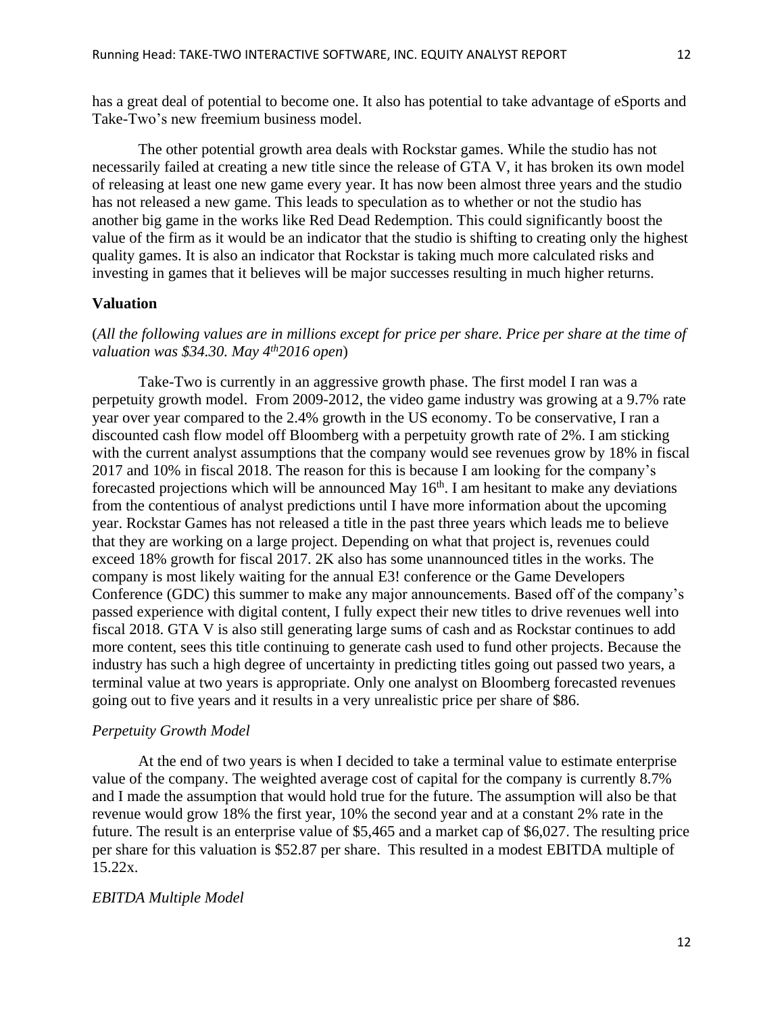has a great deal of potential to become one. It also has potential to take advantage of eSports and Take-Two's new freemium business model.

The other potential growth area deals with Rockstar games. While the studio has not necessarily failed at creating a new title since the release of GTA V, it has broken its own model of releasing at least one new game every year. It has now been almost three years and the studio has not released a new game. This leads to speculation as to whether or not the studio has another big game in the works like Red Dead Redemption. This could significantly boost the value of the firm as it would be an indicator that the studio is shifting to creating only the highest quality games. It is also an indicator that Rockstar is taking much more calculated risks and investing in games that it believes will be major successes resulting in much higher returns.

#### **Valuation**

## (*All the following values are in millions except for price per share. Price per share at the time of valuation was \$34.30. May 4th2016 open*)

Take-Two is currently in an aggressive growth phase. The first model I ran was a perpetuity growth model. From 2009-2012, the video game industry was growing at a 9.7% rate year over year compared to the 2.4% growth in the US economy. To be conservative, I ran a discounted cash flow model off Bloomberg with a perpetuity growth rate of 2%. I am sticking with the current analyst assumptions that the company would see revenues grow by 18% in fiscal 2017 and 10% in fiscal 2018. The reason for this is because I am looking for the company's forecasted projections which will be announced May  $16<sup>th</sup>$ . I am hesitant to make any deviations from the contentious of analyst predictions until I have more information about the upcoming year. Rockstar Games has not released a title in the past three years which leads me to believe that they are working on a large project. Depending on what that project is, revenues could exceed 18% growth for fiscal 2017. 2K also has some unannounced titles in the works. The company is most likely waiting for the annual E3! conference or the Game Developers Conference (GDC) this summer to make any major announcements. Based off of the company's passed experience with digital content, I fully expect their new titles to drive revenues well into fiscal 2018. GTA V is also still generating large sums of cash and as Rockstar continues to add more content, sees this title continuing to generate cash used to fund other projects. Because the industry has such a high degree of uncertainty in predicting titles going out passed two years, a terminal value at two years is appropriate. Only one analyst on Bloomberg forecasted revenues going out to five years and it results in a very unrealistic price per share of \$86.

#### *Perpetuity Growth Model*

At the end of two years is when I decided to take a terminal value to estimate enterprise value of the company. The weighted average cost of capital for the company is currently 8.7% and I made the assumption that would hold true for the future. The assumption will also be that revenue would grow 18% the first year, 10% the second year and at a constant 2% rate in the future. The result is an enterprise value of \$5,465 and a market cap of \$6,027. The resulting price per share for this valuation is \$52.87 per share. This resulted in a modest EBITDA multiple of 15.22x.

#### *EBITDA Multiple Model*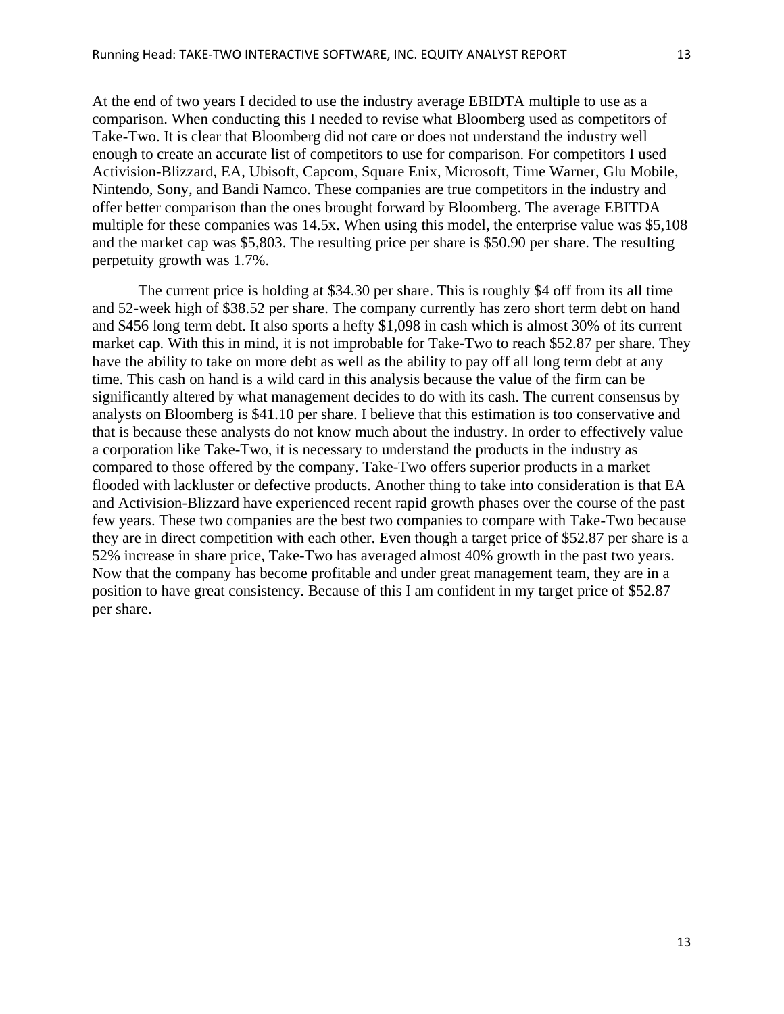At the end of two years I decided to use the industry average EBIDTA multiple to use as a comparison. When conducting this I needed to revise what Bloomberg used as competitors of Take-Two. It is clear that Bloomberg did not care or does not understand the industry well enough to create an accurate list of competitors to use for comparison. For competitors I used Activision-Blizzard, EA, Ubisoft, Capcom, Square Enix, Microsoft, Time Warner, Glu Mobile, Nintendo, Sony, and Bandi Namco. These companies are true competitors in the industry and offer better comparison than the ones brought forward by Bloomberg. The average EBITDA multiple for these companies was 14.5x. When using this model, the enterprise value was \$5,108 and the market cap was \$5,803. The resulting price per share is \$50.90 per share. The resulting perpetuity growth was 1.7%.

The current price is holding at \$34.30 per share. This is roughly \$4 off from its all time and 52-week high of \$38.52 per share. The company currently has zero short term debt on hand and \$456 long term debt. It also sports a hefty \$1,098 in cash which is almost 30% of its current market cap. With this in mind, it is not improbable for Take-Two to reach \$52.87 per share. They have the ability to take on more debt as well as the ability to pay off all long term debt at any time. This cash on hand is a wild card in this analysis because the value of the firm can be significantly altered by what management decides to do with its cash. The current consensus by analysts on Bloomberg is \$41.10 per share. I believe that this estimation is too conservative and that is because these analysts do not know much about the industry. In order to effectively value a corporation like Take-Two, it is necessary to understand the products in the industry as compared to those offered by the company. Take-Two offers superior products in a market flooded with lackluster or defective products. Another thing to take into consideration is that EA and Activision-Blizzard have experienced recent rapid growth phases over the course of the past few years. These two companies are the best two companies to compare with Take-Two because they are in direct competition with each other. Even though a target price of \$52.87 per share is a 52% increase in share price, Take-Two has averaged almost 40% growth in the past two years. Now that the company has become profitable and under great management team, they are in a position to have great consistency. Because of this I am confident in my target price of \$52.87 per share.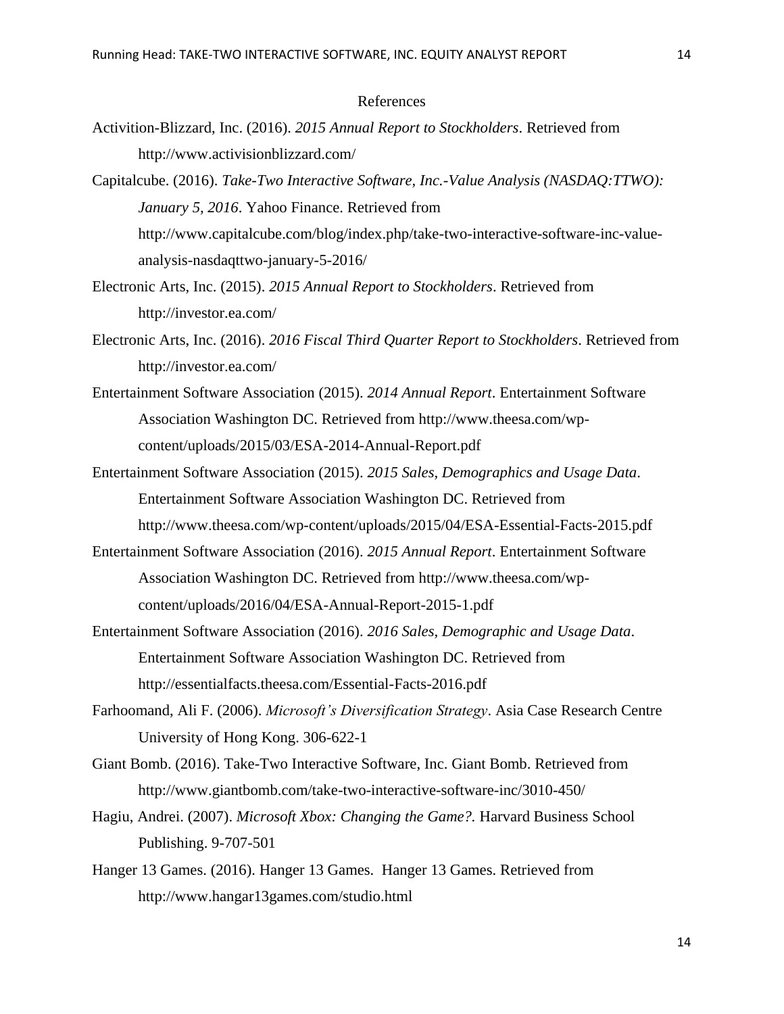#### References

- Activition-Blizzard, Inc. (2016). *2015 Annual Report to Stockholders*. Retrieved from <http://www.activisionblizzard.com/>
- Capitalcube. (2016). *Take-Two Interactive Software, Inc.-Value Analysis (NASDAQ:TTWO): January 5, 2016*. Yahoo Finance. Retrieved from [http://www.capitalcube.com/blog/index.php/take-two-interactive-software-inc-value](http://www.capitalcube.com/blog/index.php/take-two-interactive-software-inc-value-analysis-nasdaqttwo-january-5-2016/)[analysis-nasdaqttwo-january-5-2016/](http://www.capitalcube.com/blog/index.php/take-two-interactive-software-inc-value-analysis-nasdaqttwo-january-5-2016/)
- Electronic Arts, Inc. (2015). *2015 Annual Report to Stockholders*. Retrieved from <http://investor.ea.com/>
- Electronic Arts, Inc. (2016). *2016 Fiscal Third Quarter Report to Stockholders*. Retrieved from <http://investor.ea.com/>
- Entertainment Software Association (2015). *2014 Annual Report*. Entertainment Software Association Washington DC. Retrieved from [http://www.theesa.com/wp](http://www.theesa.com/wp-content/uploads/2015/03/ESA-2014-Annual-Report.pdf)[content/uploads/2015/03/ESA-2014-Annual-Report.pdf](http://www.theesa.com/wp-content/uploads/2015/03/ESA-2014-Annual-Report.pdf)
- Entertainment Software Association (2015). *2015 Sales, Demographics and Usage Data*. Entertainment Software Association Washington DC. Retrieved from <http://www.theesa.com/wp-content/uploads/2015/04/ESA-Essential-Facts-2015.pdf>
- Entertainment Software Association (2016). *2015 Annual Report*. Entertainment Software Association Washington DC. Retrieved from http://www.theesa.com/wpcontent/uploads/2016/04/ESA-Annual-Report-2015-1.pdf
- Entertainment Software Association (2016). *2016 Sales, Demographic and Usage Data*. Entertainment Software Association Washington DC. Retrieved from <http://essentialfacts.theesa.com/Essential-Facts-2016.pdf>
- Farhoomand, Ali F. (2006). *Microsoft's Diversification Strategy*. Asia Case Research Centre University of Hong Kong. 306-622-1
- Giant Bomb. (2016). Take-Two Interactive Software, Inc. Giant Bomb. Retrieved from <http://www.giantbomb.com/take-two-interactive-software-inc/3010-450/>
- Hagiu, Andrei. (2007). *Microsoft Xbox: Changing the Game?.* Harvard Business School Publishing. 9-707-501
- Hanger 13 Games. (2016). Hanger 13 Games. Hanger 13 Games. Retrieved from <http://www.hangar13games.com/studio.html>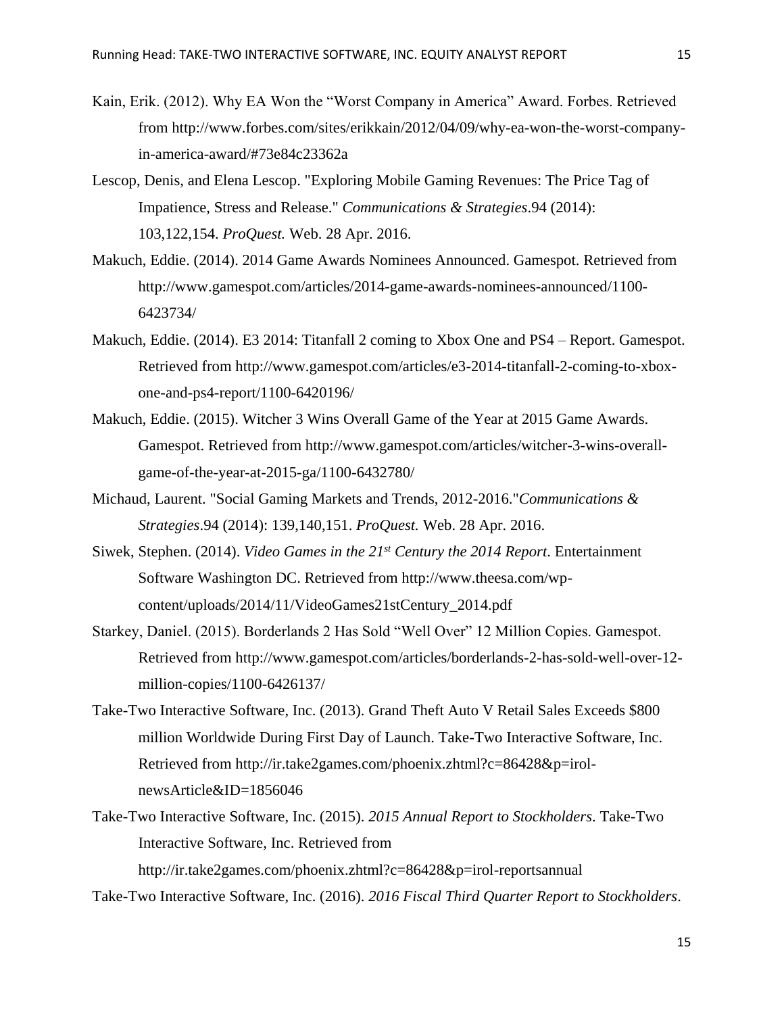- Kain, Erik. (2012). Why EA Won the "Worst Company in America" Award. Forbes. Retrieved from [http://www.forbes.com/sites/erikkain/2012/04/09/why-ea-won-the-worst-company](http://www.forbes.com/sites/erikkain/2012/04/09/why-ea-won-the-worst-company-in-america-award/#73e84c23362a)[in-america-award/#73e84c23362a](http://www.forbes.com/sites/erikkain/2012/04/09/why-ea-won-the-worst-company-in-america-award/#73e84c23362a)
- Lescop, Denis, and Elena Lescop. "Exploring Mobile Gaming Revenues: The Price Tag of Impatience, Stress and Release." *Communications & Strategies*.94 (2014): 103,122,154. *ProQuest.* Web. 28 Apr. 2016.
- Makuch, Eddie. (2014). 2014 Game Awards Nominees Announced. Gamespot. Retrieved from [http://www.gamespot.com/articles/2014-game-awards-nominees-announced/1100-](http://www.gamespot.com/articles/2014-game-awards-nominees-announced/1100-6423734/) [6423734/](http://www.gamespot.com/articles/2014-game-awards-nominees-announced/1100-6423734/)
- Makuch, Eddie. (2014). E3 2014: Titanfall 2 coming to Xbox One and PS4 Report. Gamespot. Retrieved from [http://www.gamespot.com/articles/e3-2014-titanfall-2-coming-to-xbox](http://www.gamespot.com/articles/e3-2014-titanfall-2-coming-to-xbox-one-and-ps4-report/1100-6420196/)[one-and-ps4-report/1100-6420196/](http://www.gamespot.com/articles/e3-2014-titanfall-2-coming-to-xbox-one-and-ps4-report/1100-6420196/)
- Makuch, Eddie. (2015). Witcher 3 Wins Overall Game of the Year at 2015 Game Awards. Gamespot. Retrieved from [http://www.gamespot.com/articles/witcher-3-wins-overall](http://www.gamespot.com/articles/witcher-3-wins-overall-game-of-the-year-at-2015-ga/1100-6432780/)[game-of-the-year-at-2015-ga/1100-6432780/](http://www.gamespot.com/articles/witcher-3-wins-overall-game-of-the-year-at-2015-ga/1100-6432780/)
- Michaud, Laurent. "Social Gaming Markets and Trends, 2012-2016."*Communications & Strategies*.94 (2014): 139,140,151. *ProQuest.* Web. 28 Apr. 2016.
- Siwek, Stephen. (2014). *Video Games in the 21st Century the 2014 Report*. Entertainment Software Washington DC. Retrieved from http://www.theesa.com/wpcontent/uploads/2014/11/VideoGames21stCentury\_2014.pdf
- Starkey, Daniel. (2015). Borderlands 2 Has Sold "Well Over" 12 Million Copies. Gamespot. Retrieved from [http://www.gamespot.com/articles/borderlands-2-has-sold-well-over-12](http://www.gamespot.com/articles/borderlands-2-has-sold-well-over-12-million-copies/1100-6426137/) [million-copies/1100-6426137/](http://www.gamespot.com/articles/borderlands-2-has-sold-well-over-12-million-copies/1100-6426137/)
- Take-Two Interactive Software, Inc. (2013). Grand Theft Auto V Retail Sales Exceeds \$800 million Worldwide During First Day of Launch. Take-Two Interactive Software, Inc. Retrieved from [http://ir.take2games.com/phoenix.zhtml?c=86428&p=irol](http://ir.take2games.com/phoenix.zhtml?c=86428&p=irol-newsArticle&ID=1856046)[newsArticle&ID=1856046](http://ir.take2games.com/phoenix.zhtml?c=86428&p=irol-newsArticle&ID=1856046)
- Take-Two Interactive Software, Inc. (2015). *2015 Annual Report to Stockholders*. Take-Two Interactive Software, Inc. Retrieved from <http://ir.take2games.com/phoenix.zhtml?c=86428&p=irol-reportsannual>

Take-Two Interactive Software, Inc. (2016). *2016 Fiscal Third Quarter Report to Stockholders*.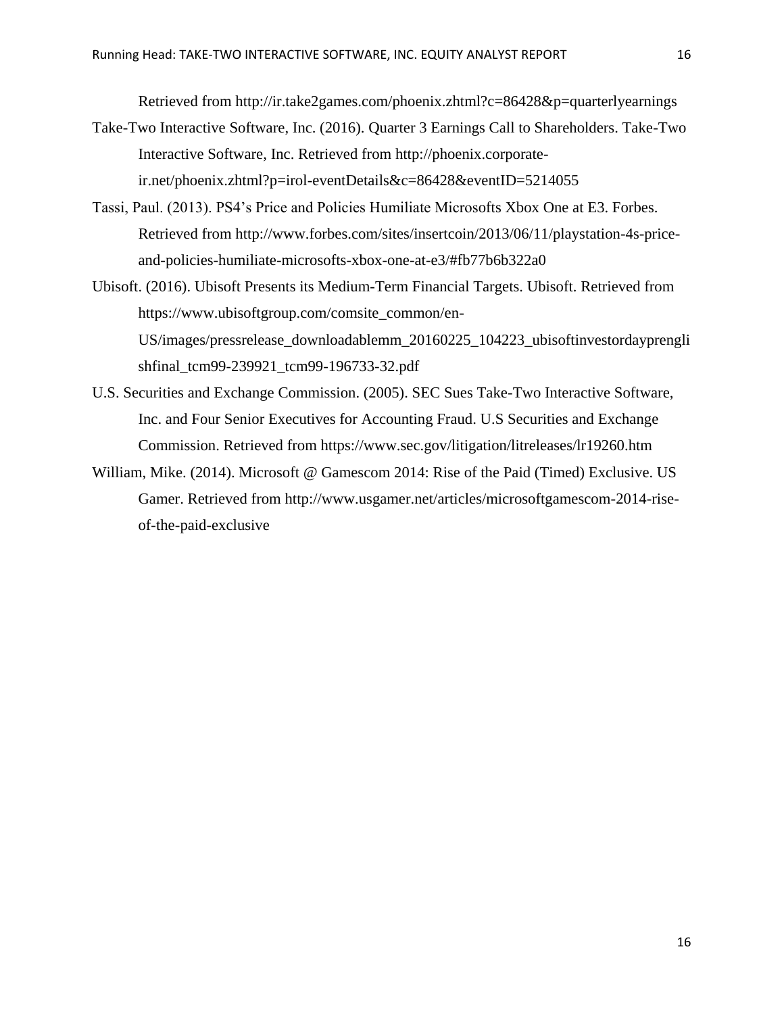Retrieved from<http://ir.take2games.com/phoenix.zhtml?c=86428&p=quarterlyearnings>

- Take-Two Interactive Software, Inc. (2016). Quarter 3 Earnings Call to Shareholders. Take-Two Interactive Software, Inc. Retrieved from [http://phoenix.corporate](http://phoenix.corporate-ir.net/phoenix.zhtml?p=irol-eventDetails&c=86428&eventID=5214055)[ir.net/phoenix.zhtml?p=irol-eventDetails&c=86428&eventID=5214055](http://phoenix.corporate-ir.net/phoenix.zhtml?p=irol-eventDetails&c=86428&eventID=5214055)
- Tassi, Paul. (2013). PS4's Price and Policies Humiliate Microsofts Xbox One at E3. Forbes. Retrieved from [http://www.forbes.com/sites/insertcoin/2013/06/11/playstation-4s-price](http://www.forbes.com/sites/insertcoin/2013/06/11/playstation-4s-price-and-policies-humiliate-microsofts-xbox-one-at-e3/#fb77b6b322a0)[and-policies-humiliate-microsofts-xbox-one-at-e3/#fb77b6b322a0](http://www.forbes.com/sites/insertcoin/2013/06/11/playstation-4s-price-and-policies-humiliate-microsofts-xbox-one-at-e3/#fb77b6b322a0)
- Ubisoft. (2016). Ubisoft Presents its Medium-Term Financial Targets. Ubisoft. Retrieved from [https://www.ubisoftgroup.com/comsite\\_common/en-](https://www.ubisoftgroup.com/comsite_common/en-US/images/pressrelease_downloadablemm_20160225_104223_ubisoftinvestordayprenglishfinal_tcm99-239921_tcm99-196733-32.pdf)[US/images/pressrelease\\_downloadablemm\\_20160225\\_104223\\_ubisoftinvestordayprengli](https://www.ubisoftgroup.com/comsite_common/en-US/images/pressrelease_downloadablemm_20160225_104223_ubisoftinvestordayprenglishfinal_tcm99-239921_tcm99-196733-32.pdf) [shfinal\\_tcm99-239921\\_tcm99-196733-32.pdf](https://www.ubisoftgroup.com/comsite_common/en-US/images/pressrelease_downloadablemm_20160225_104223_ubisoftinvestordayprenglishfinal_tcm99-239921_tcm99-196733-32.pdf)
- U.S. Securities and Exchange Commission. (2005). SEC Sues Take-Two Interactive Software, Inc. and Four Senior Executives for Accounting Fraud. U.S Securities and Exchange Commission. Retrieved from<https://www.sec.gov/litigation/litreleases/lr19260.htm>
- William, Mike. (2014). Microsoft @ Gamescom 2014: Rise of the Paid (Timed) Exclusive. US Gamer. Retrieved from [http://www.usgamer.net/articles/microsoftgamescom-2014-rise](http://www.usgamer.net/articles/microsoftgamescom-2014-rise-of-the-paid-exclusive)[of-the-paid-exclusive](http://www.usgamer.net/articles/microsoftgamescom-2014-rise-of-the-paid-exclusive)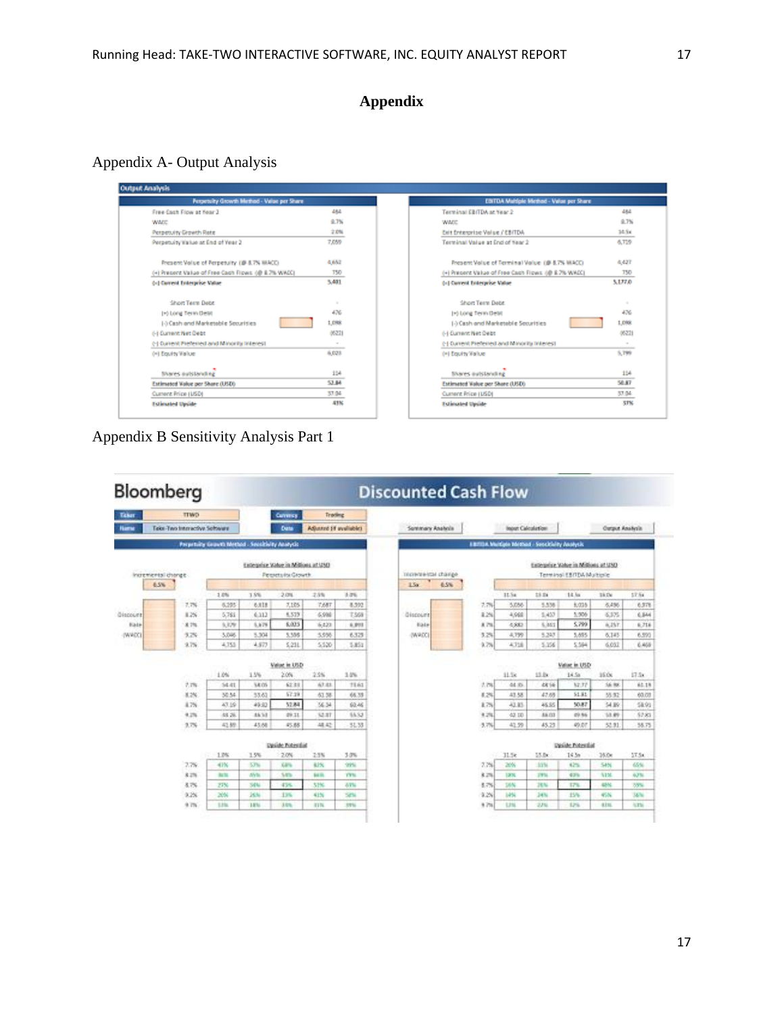## **Appendix**

Appendix A- Output Analysis

| Perpetuity Growth Method - Value per Share         |            |
|----------------------------------------------------|------------|
| Free Cash Flow at Year 3                           | 484        |
| <b>WADE</b>                                        | 8.7%       |
| Perpetuity Growth Rate                             | 之户版        |
| Perpetuity Value at End of Year 2                  | 7,059      |
| Present Value of Perpetuity (@ &7% WACC)           | 4.652      |
| (+) Precent Value of Free Cash Flows (@ 8.7% WACC) | 750        |
| (c) Current Enterprise Value                       | 5,401      |
| Short Term Debt                                    | ٠          |
| (+) Long Term DeM                                  | 476        |
| (-) Cash and Marketable Securities                 | 1.0%       |
| (-) Current Net Debt                               | 05221      |
| (-) Current Preferred and Minority Interest        | $\sim$     |
| (H) Equity Value                                   | 6.023      |
| Shares published by                                | 154        |
| Extimated Value per Share (USD)                    | 52.84      |
| Current Price (USD)                                | 57.04      |
| <b>Estimated Upside</b>                            | <b>SIN</b> |

Appendix B Sensitivity Analysis Part 1

| EDITDA Multiple Method - Value per Share           |          |
|----------------------------------------------------|----------|
| Terminal EBITDA at Year 2                          | 484      |
| WADD                                               | 8.7%     |
| Exit Enterprise Value / EBITDA                     | 34.5x    |
| Terminal Value at End of Near 2                    | 6,719    |
| Present Value of Terminal Value (@ 8.7% MACC)      | 4,427    |
| (+) Present Value of Free Cash Flows (@ 8.7% WACC) | 750      |
| (c) Current Interprise Value                       | 5,177.0  |
| Short Term Debt                                    | $\alpha$ |
| (+) Long Term DeM                                  | 476      |
| 1-) Cash and Marketable Securities                 | 1,098    |
| (-) Current Net Debt                               | 05221    |
| (-) Current Preferred and Minority Interest        | $\sim$   |
| (H) Equity Value                                   | 5,799    |
| Shares autstanding                                 | 154      |
| Estimated Value per Share (USD)                    | 58.87    |
| Current Price (USD)                                | 57.04    |
| <b>Estimated Upside</b>                            | STN.     |

| Bloomberg        |                    |                               |                                                |        |                                                        |                        |            | <b>Discounted Cash Flow</b> |      |          |                          |                                                   |                                                                  |                        |            |
|------------------|--------------------|-------------------------------|------------------------------------------------|--------|--------------------------------------------------------|------------------------|------------|-----------------------------|------|----------|--------------------------|---------------------------------------------------|------------------------------------------------------------------|------------------------|------------|
| Taker            |                    | <b>TTWD</b>                   |                                                |        | Currence                                               | Trading                |            |                             |      |          |                          |                                                   |                                                                  |                        |            |
| <b>Hame</b>      |                    | Teke-Two Interactive Software |                                                |        | <b>Date</b>                                            | Adjusted (if wellsbld) |            | Summary Analysis            |      |          | <b>Input Calculation</b> |                                                   |                                                                  | <b>Output Analysis</b> |            |
|                  |                    |                               | Preparaity Growth Method - Securities Acorysis |        |                                                        |                        |            |                             |      |          |                          | ERITISA Multiple Internati - Sensitivity Analysis |                                                                  |                        |            |
|                  | Incremental change |                               |                                                |        | Extensive Value in Millions at USD<br>Perpetuks Growth |                        |            | полнованам сважде           |      |          |                          |                                                   | Extensive Value in Millions at UND<br>Terminal EBITDA Multiplier |                        |            |
|                  | 65%                |                               |                                                |        |                                                        |                        |            | 154                         | 6.5% |          |                          |                                                   |                                                                  |                        |            |
|                  |                    |                               | 1.0%                                           | 1.9%   | 2.0%                                                   | 2.5%                   | 3.2%       |                             |      |          | 11.5x                    | 28.24                                             | 14.5a                                                            | 35 De                  | 57.64      |
|                  |                    | 7.7%                          | 6,295                                          | 6,818  | 7,185                                                  | 7,687                  | 8,392      |                             |      | 2.7%     | 5,056                    | 5,538                                             | 6,035                                                            | 6,496                  | 6,578      |
| <b>Gispourit</b> |                    | 8.2%                          | 5.761                                          | 6.312  | 5,519                                                  | 6,994                  | T.558      | <b>Giscourit</b>            |      | 8.2%     | 4,968                    | 5.457                                             | 5,906                                                            | 6.5%                   | 6,844      |
| <b>Base</b>      |                    | 8.7%                          | 5,329                                          | 5.879  | 6,025                                                  | 6423                   | 6, 913     | <b>Base</b>                 |      | 4.7%     | 4,883                    | 5,861                                             | 5,799                                                            | A.25T                  | 6,716      |
| (WADC)           |                    | 9.2%                          | 3,046                                          | 5,504  | 5,336                                                  | 5,956                  | 6,325      | (WADC)                      |      | 3.2%     | 4,759                    | 5,347                                             | 5,695                                                            | 6,145                  | 6,590      |
|                  |                    | 9.7%                          | 4.753                                          | 4.573  | 5.231                                                  | 5.520                  | 5.853      |                             |      | 9.7%     | W358                     | 5.356                                             | 5.594                                                            | 6.032                  | 6.468      |
|                  |                    |                               | 1.0%                                           | 1.5%   | Value in USD<br>2.0%                                   | 2.9%                   | 1.0%       |                             |      |          | 11.5k                    | 13.0x                                             | Value in USD<br>14.5a                                            | 35.06                  | 17.5x      |
|                  |                    | 7.7%                          | 54.81                                          | 5.8 CO | 62.33                                                  | 67.83                  | TEAT       |                             |      | 7.7%     | 44.95                    | 48.56                                             | 52.77                                                            | 56.98                  | 85.19      |
|                  |                    | 8.2%                          | 50.54                                          | 55.63  | 57.29                                                  | 61.58                  | 86.33      |                             |      | 8.2%     | 43.58                    | 47.68                                             | 51.81                                                            | 55.52                  | 60.03      |
|                  |                    | 4.7%                          | 47.16                                          | 49.33  | 52.84                                                  | 56.54                  | 60.46      |                             |      | 1.7%     | 43.85                    | 45.95                                             | 50.87                                                            | 54.89                  | 58.93      |
|                  |                    | 9.2%                          | 48.26                                          | 85.53  | 09.11                                                  | <b>12.57</b>           | 55.52      |                             |      | 9.2%     | 42.10                    | 88.03                                             | 09.96                                                            | 13.89                  | 52.83      |
|                  |                    | 3.7%                          | 41.89                                          | 43.68  | 45.88                                                  | 胡松                     | 51.33      |                             |      | $-3.776$ | 41.59                    | 45.23                                             | 49.07                                                            | 52.91                  | 36.75      |
|                  |                    |                               |                                                |        | Deside Fotontial                                       |                        |            |                             |      |          |                          |                                                   | Deside Fotontial                                                 |                        |            |
|                  |                    |                               | 1.7%<br>42.                                    | 15%    | 2.0%                                                   | 2.9%                   | 3.0%       |                             |      |          | 11.5 <sub>k</sub>        | 15.0x                                             | 14.58                                                            | 35.0x                  | 57.5x      |
|                  |                    | 27%                           | 41%                                            | 57%    | Xáru.                                                  | 63%                    | 99%        |                             |      | 7.7%     | 20%                      | 53%                                               | 42%                                                              | SHN                    | 65%        |
|                  |                    | 8.2%                          | <b>Ballie</b>                                  | AVM    | SA'le                                                  | <b>Bott</b>            | <b>TWN</b> |                             |      | 8.2%     | 1,930                    | $270\,\mathrm{Hz}$                                | 43%                                                              | N <sub>1</sub> M       | 63%        |
|                  |                    | 8.7%                          | 27%                                            | 34%    | 45%                                                    | 51%                    | 83%        |                             |      | 6.7%     | 18%                      | <b>JEN</b>                                        | 17%                                                              | 68%                    | <b>S9%</b> |
|                  |                    | 9.26                          | 20%                                            | 26%    | 13%                                                    | 41%                    | Shi        |                             |      | 9.2%     | 14%                      | 24%                                               | 15%                                                              | 45%                    | 56%        |
|                  |                    | 9.7%                          | t.the                                          | 1.9%   | 3.0%                                                   | ITE TO                 | 3701       |                             |      | 9.7%     | <b>T.21L</b>             | 2.751                                             | 12%                                                              | <b>RIM</b>             | U.Thi.     |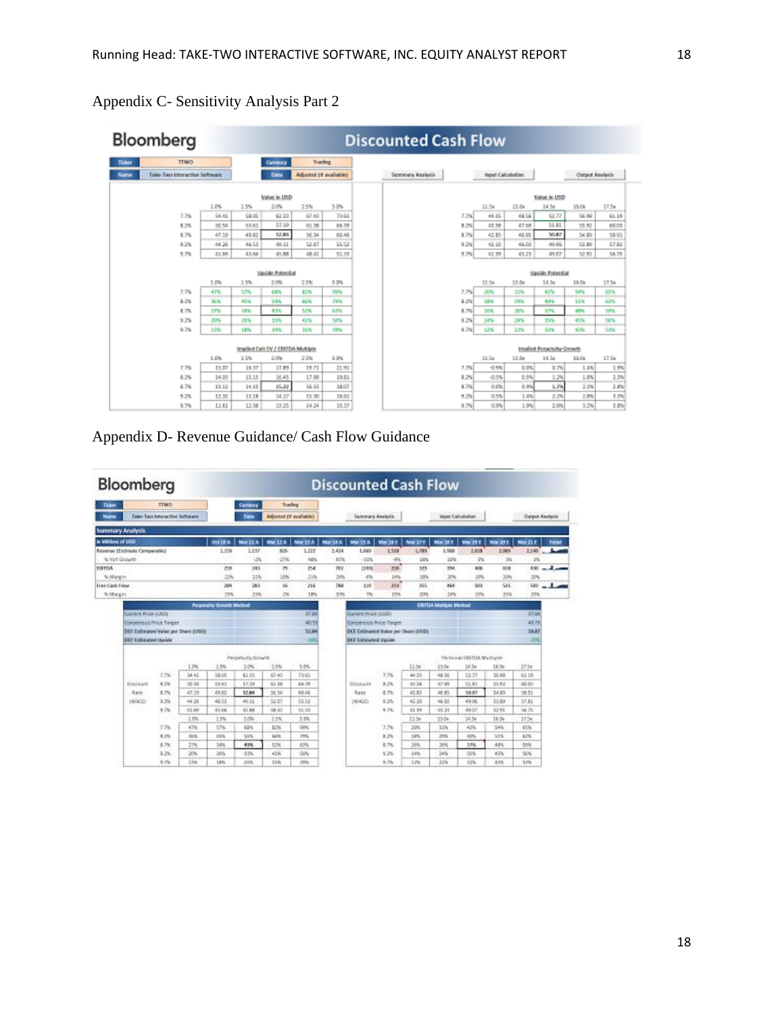|                                   | Bloomberg                     |            | <b>Discounted Cash Flow</b> |                          |                         |        |                  |         |                          |                                  |                        |        |  |  |  |  |
|-----------------------------------|-------------------------------|------------|-----------------------------|--------------------------|-------------------------|--------|------------------|---------|--------------------------|----------------------------------|------------------------|--------|--|--|--|--|
| <b>Ticker</b>                     | <b>TTWD</b>                   |            |                             | <b>Currency</b>          | Trading                 |        |                  |         |                          |                                  |                        |        |  |  |  |  |
| <b>Name</b>                       | Take-Two Interactive Software |            |                             | <b>Data</b>              | Adjusted (If available) |        | Summary Analysis |         | <b>Input Calculation</b> |                                  | <b>Output Analysis</b> |        |  |  |  |  |
|                                   |                               |            |                             | Value in USD             |                         |        |                  |         |                          | Value in USD                     |                        |        |  |  |  |  |
|                                   |                               | 1.0%       | 1.5%                        | 2.0%                     | 2.5%                    | 3.0%   |                  | 11.56   | 13.0x                    | 14.5a                            | 36.0x                  | 17.5x  |  |  |  |  |
|                                   | 7.7%                          | \$4.41     | \$8.05                      | 62.33                    | 67.41                   | 33.63  | 2.7%             | 44.35   | 48.56                    | \$2.77                           | 56.98                  | 61.19  |  |  |  |  |
|                                   | 8.2%                          | 50.54      | 55.63                       | 57.19                    | 61.58                   | 66.35  | 8.2%             | 43.58   | 47.69                    | 51.81                            | 55.52                  | 60.03  |  |  |  |  |
|                                   | 8.7%                          | 47.19      | 49.82                       | 52.84                    | 56.54                   | 60.46  | 4.7%             | 42.83   | 46.85                    | <b>VOLK?</b>                     | 54.89                  | 58.93  |  |  |  |  |
|                                   | 9.2%                          | 44.26      | 46.53                       | 49.11                    | \$3.07                  | \$5.53 | 9.2%             | 43.50   | 46.03                    | 49.96                            | 53.89                  | \$7.85 |  |  |  |  |
|                                   | 5.7%                          | 43.69      | 45.68                       | 45.88                    | 48.42                   | 51.33  | 5.7%             | 43.99   | 45.25                    | 49.07                            | 52.91                  | 56.75  |  |  |  |  |
|                                   |                               | 1.0%       | 1.5%                        | Update Potential<br>2.0% | 2.5%                    | 3.0%   |                  | 11.54   | 13.04                    | Update Potential<br>14.5m        | 36.Oc                  | 17.54  |  |  |  |  |
|                                   | 7.7%                          | 47%        | 57%                         | 68%                      | 62%                     | 99%    | 2.7%             | 20%     | 52%                      | 42%                              | 54%                    | 65%    |  |  |  |  |
|                                   | 8.2%                          | <b>SKN</b> | 45%                         | SADS.                    | 66%                     | 79%    | 8.2%             | 1996    | 29%                      | 40%                              | StN                    | 62%    |  |  |  |  |
|                                   | 8.7%                          | 2TN        | MK.                         | 4.9%                     | MN <sub>3</sub>         | 6/FK   | 8.7%             | 18%     | 28%                      | 37%                              | <b>GEN</b>             | 39%    |  |  |  |  |
|                                   | 9.2%                          | 20%        | 26%                         | 35%                      | 41%                     | 58%    | 9.2%             | 14%     | 24%                      | 15%                              | 45%                    | 56%    |  |  |  |  |
|                                   | 9.7%                          | EIN        | 18%                         | 34%                      | 31%                     | 19%    | 9.7%             | EIN     | 22%                      | 12%                              | 41%                    | STN.   |  |  |  |  |
| Implied Exit EV / EBITDA Multiple |                               |            |                             |                          |                         |        |                  |         |                          | <b>Implied Perpetuity Growth</b> |                        |        |  |  |  |  |
|                                   |                               | 1.0%       | 1.5%                        | 2.0%                     | 2.5%                    | 1.0%   |                  | 11.5x   | 11.0x                    | 14.5a                            | 36.0x                  | 17.5x  |  |  |  |  |
|                                   | 7.7%                          | 13.07      | 16.57                       | 37.89                    | 19.71                   | 21.90  | 7.7%             | $-0.9%$ | 0.0%                     | 0.7%                             | 1.4%                   | 15%    |  |  |  |  |
|                                   | 8.2%                          | 14.03      | 15.15                       | 36.45                    | 17.98                   | 19.83  | 4.2%             | $-0.5%$ | 0.5%                     | 129                              | LBS                    | 2.2%   |  |  |  |  |
|                                   | 8.7%                          | 13.52      | 14.10                       | 55.32                    | 16.53                   | 18.07  | 8.7%             | 0.0%    | 6 inc.                   | 1.7%                             | 2.3%                   | 2.8%   |  |  |  |  |
|                                   | 5.2%                          | 12.52      | 15.18                       | 34.17                    | 13.50                   | 16.63  | 5.2%             | 0.5%    | 1.4%                     | 229                              | 2.8%                   | 1.7%   |  |  |  |  |
|                                   | 9.7%                          | 11.51      | 12.58                       | 35.25                    | 14.24                   | 15.57  | 9.7%             | 0.9%    | 19%                      | 2.6%                             | 5.2%                   | 3.8%   |  |  |  |  |

Appendix C- Sensitivity Analysis Part 2

Appendix D- Revenue Guidance/ Cash Flow Guidance

| Bloomberg             |                                     |                                |              |                                 |                   |                          |            |                                     |                            |          |                 | <b>Discounted Cash Flow</b>   |                                 |                 |                        |               |
|-----------------------|-------------------------------------|--------------------------------|--------------|---------------------------------|-------------------|--------------------------|------------|-------------------------------------|----------------------------|----------|-----------------|-------------------------------|---------------------------------|-----------------|------------------------|---------------|
| Taker                 |                                     | <b>TTWD</b>                    |              |                                 | Currency          | Trading                  |            |                                     |                            |          |                 |                               |                                 |                 |                        |               |
| <b>North</b>          |                                     | False-Two Interactive Software |              |                                 | <b>Date</b>       | Adjusted (if available). |            |                                     | Summary Asshrida           |          |                 | <b>Input Calculation</b>      |                                 |                 | <b>Output Analysis</b> |               |
|                       | <b>Summary Analysis</b>             |                                |              |                                 |                   |                          |            |                                     |                            |          |                 |                               |                                 |                 |                        |               |
| in Williams of USD    |                                     |                                |              | $Q(1)$ is a                     | <b>Mar 33 A</b>   | New 12.4                 | Mar 15 A   | <b>Mar 24 A</b>                     | New 15.4                   | Mai 18.F | <b>Mar 17.8</b> | Mar 18 E                      | <b>Mai 19 F</b>                 | Mix 20 E        | Mai 21 E               | <b>Tiesd</b>  |
|                       | Revenue (Estimate Companable)       |                                |              | 1.359                           | 3,157             | 826                      | 1,322      | 2,414                               | 1,689                      | 1.518    | 1,789           | 1,968                         | LES                             | 3,089           | 2,149                  |               |
| % Yor Grouth          |                                     |                                |              |                                 | -28               | $-2796$                  | 48%        | 97%                                 | $-2256$                    | $-10$    | 288             | 10%                           | <b>IN</b>                       | 254             | 3%                     |               |
| THETEA                |                                     |                                |              | 259                             | 24%               | 万                        | 254        | mr                                  | <b>CEREE</b>               | 220      | 739             | 3%4                           | AGE.                            | 818             |                        | $400 - 1 - 1$ |
| % Margin              |                                     |                                | 32%          | 31%                             | 10%               | 22%                      | 20%        | 48                                  | 14%                        | 18%      | 30%             | 20%                           | 30%                             | 20%             |                        |               |
| Finish Cardis Filgrer |                                     |                                |              | 329                             | 283               | 56                       | 216        | 788                                 | 119                        | 2111     | 555             | 464                           | 503                             | SH <sub>3</sub> | Sab                    | --            |
| % Margin              |                                     |                                |              | 25%                             | 23%               | JN.                      | 18%        | 53%                                 | TN.                        | 15%      | 20%             | 24N                           | 25%                             | ZM4             | 22%                    |               |
|                       |                                     |                                |              | <b>Perpetainy Growth Method</b> |                   |                          |            |                                     |                            |          |                 | <b>EDITOA Marticle Method</b> |                                 |                 |                        |               |
|                       | Current Prize (USD)                 |                                |              |                                 |                   |                          | 37.00      |                                     | <b>Current Price (USD)</b> |          |                 |                               |                                 |                 | 37.04                  |               |
|                       | <b>Conservicis Price Target</b>     |                                |              |                                 |                   |                          | 80.75      | Corporate Price Torpel              |                            |          |                 |                               | 40.75                           |                 |                        |               |
|                       | DCF Extimated Value per Share FUSDE |                                |              |                                 |                   |                          | 53,64      | DCF Extinuoud Value per Share (USD) |                            |          |                 |                               | 59.87                           |                 |                        |               |
|                       | <b>DO Francisco Unido</b>           |                                |              |                                 | $-2.25$           |                          |            | DO Estimated Updale                 |                            |          |                 |                               | 1 <sub>7</sub>                  |                 |                        |               |
|                       |                                     |                                |              |                                 | Pelpetuals doouth |                          |            |                                     |                            |          |                 |                               | have a sull life ITOA Maltigue- |                 |                        |               |
|                       |                                     |                                | 1.0%         | 15%                             | 2.0%              | 2.5%                     | 1.0%       |                                     |                            |          | 13.50           | 15.0e                         | $14.5*$                         | 18.04           | $17.5*$                |               |
|                       |                                     | 7.7%                           | 54.41        | 38.05                           | 62.33             | 67.43                    | 73.63      |                                     |                            | 3.7%     | 44.35           | 48.56                         | 12.73                           | 56.98           | 61.59                  |               |
|                       | <b>Disclould</b>                    | 8.2%                           | 10.54        | 55.63                           | 57.29             | 61.300                   | 66.39      |                                     | <b>DISCOURS</b>            | 8.2%     | 41.58           | 42.99                         | 9.5 8.9                         | 55.42           | 46.93                  |               |
|                       | <b>Bate</b>                         | 8.7%                           | 47.19        | 49.82                           | 57.84             | 56.54                    | 63.48      |                                     | <b>Date</b>                | 8.7%     | 42.85           | 48.85                         | 53.87                           | 54.89           | 58.91                  |               |
|                       | (WACE)                              | 9.2%                           | 44.26        | 45.53                           | 49.11             | 53.07                    | \$5.53     |                                     | OWADCI                     | 9.2%     | 42.93           | 46.03                         | 49.96                           | 55.89           | 57.81                  |               |
|                       |                                     | 9.7%                           | 41.69        | 4166                            | 45.88             | 18.57                    | 15.33      |                                     |                            | 4.7%     | 11.39           | 45.28                         | 49.07                           | 52.91           | <b>14.75</b>           |               |
|                       |                                     |                                | 1.0%         | 1.5%                            | 2.0%              | 2.5%                     | 3.0%       |                                     |                            |          | 13.5n           | 33.0e                         | 34.54                           | 18.04           | 17.5e                  |               |
|                       |                                     | 27%                            | 47%          | 5%                              | 68%               | 83%                      | 986        |                                     |                            | 3.7%     | 33%             | 11%                           | 42%                             | 54%             | 65%                    |               |
|                       |                                     | 東京縣                            | <b>Julie</b> | 45%                             | 54%               | Asi (N)                  | <b>TWN</b> |                                     |                            | 8.2%     | 18%             | 29%                           | 42%                             | 5.1%            | 62%                    |               |
|                       |                                     | 8.7%                           | 27%          | 34%                             | 43%               | \$2%                     | 63%        |                                     |                            | 8.7%     | 39%             | 56%                           | <b>SHG</b>                      | 4.9%            | 55%                    |               |
|                       |                                     | 9.2%                           | 30%          | 20%                             | 33%               | 41%                      | 50%        |                                     |                            | 9.2%     | 101             | 34%                           | 35%                             | 45%             | 50%                    |               |
|                       |                                     | 9.7%                           | 1.276        | tim                             | 3.0%              | 2151                     | 1/8%       |                                     |                            | \$7%     | 1296            | 22%                           | 1,7%                            | 4.0%            | <b>Sitte</b>           |               |